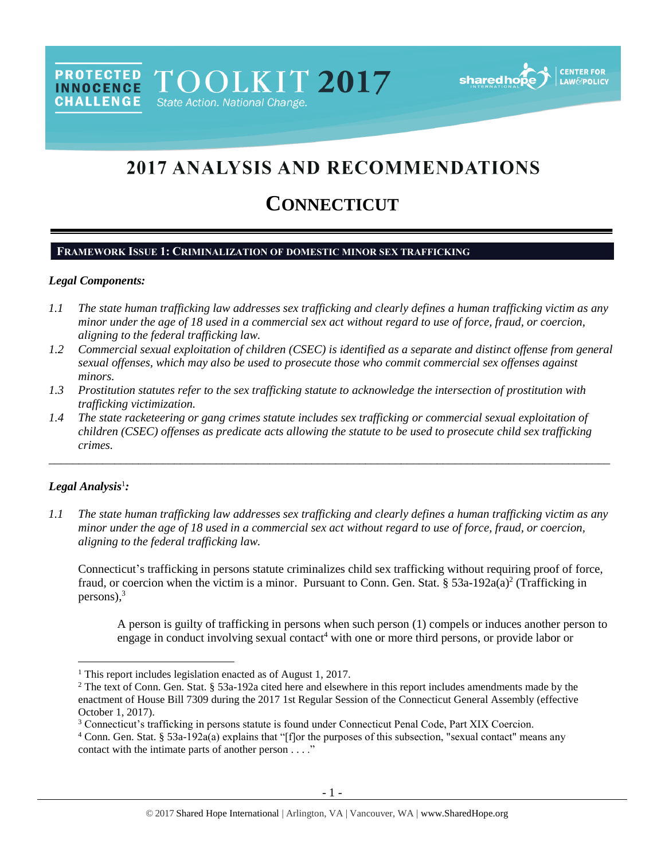**PROTECTED** TOOLKIT 2017 State Action. National Change.



# 2017 ANALYSIS AND RECOMMENDATIONS

# **CONNECTICUT**

# **FRAMEWORK ISSUE 1: CRIMINALIZATION OF DOMESTIC MINOR SEX TRAFFICKING**

#### *Legal Components:*

**INNOCENCE CHALLENGE** 

- *1.1 The state human trafficking law addresses sex trafficking and clearly defines a human trafficking victim as any minor under the age of 18 used in a commercial sex act without regard to use of force, fraud, or coercion, aligning to the federal trafficking law.*
- *1.2 Commercial sexual exploitation of children (CSEC) is identified as a separate and distinct offense from general sexual offenses, which may also be used to prosecute those who commit commercial sex offenses against minors.*
- *1.3 Prostitution statutes refer to the sex trafficking statute to acknowledge the intersection of prostitution with trafficking victimization.*
- *1.4 The state racketeering or gang crimes statute includes sex trafficking or commercial sexual exploitation of children (CSEC) offenses as predicate acts allowing the statute to be used to prosecute child sex trafficking crimes.*

\_\_\_\_\_\_\_\_\_\_\_\_\_\_\_\_\_\_\_\_\_\_\_\_\_\_\_\_\_\_\_\_\_\_\_\_\_\_\_\_\_\_\_\_\_\_\_\_\_\_\_\_\_\_\_\_\_\_\_\_\_\_\_\_\_\_\_\_\_\_\_\_\_\_\_\_\_\_\_\_\_\_\_\_\_\_\_\_\_\_\_\_\_\_

## *Legal Analysis*<sup>1</sup> *:*

 $\overline{a}$ 

*1.1 The state human trafficking law addresses sex trafficking and clearly defines a human trafficking victim as any minor under the age of 18 used in a commercial sex act without regard to use of force, fraud, or coercion, aligning to the federal trafficking law.*

Connecticut's trafficking in persons statute criminalizes child sex trafficking without requiring proof of force, fraud, or coercion when the victim is a minor. Pursuant to Conn. Gen. Stat. §  $53a-192a(a)^2$  (Trafficking in persons), 3

<span id="page-0-0"></span>A person is guilty of trafficking in persons when such person (1) compels or induces another person to engage in conduct involving sexual contact<sup>4</sup> with one or more third persons, or provide labor or

<sup>&</sup>lt;sup>1</sup> This report includes legislation enacted as of August 1, 2017.

<sup>&</sup>lt;sup>2</sup> The text of Conn. Gen. Stat. § 53a-192a cited here and elsewhere in this report includes amendments made by the enactment of House Bill 7309 during the 2017 1st Regular Session of the Connecticut General Assembly (effective October 1, 2017).

<sup>3</sup> Connecticut's trafficking in persons statute is found under Connecticut Penal Code, Part XIX Coercion.

<sup>4</sup> Conn. Gen. Stat. § 53a-192a(a) explains that "[f]or the purposes of this subsection, "sexual contact" means any contact with the intimate parts of another person . . . ."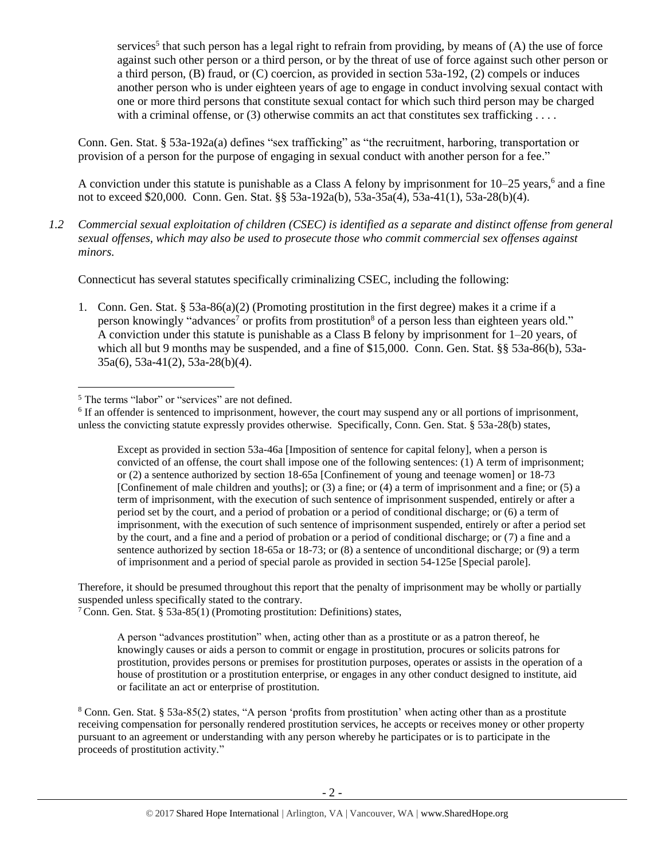services<sup>5</sup> that such person has a legal right to refrain from providing, by means of (A) the use of force against such other person or a third person, or by the threat of use of force against such other person or a third person, (B) fraud, or (C) coercion, as provided in section 53a-192, (2) compels or induces another person who is under eighteen years of age to engage in conduct involving sexual contact with one or more third persons that constitute sexual contact for which such third person may be charged with a criminal offense, or  $(3)$  otherwise commits an act that constitutes sex trafficking ...

Conn. Gen. Stat. § 53a-192a(a) defines "sex trafficking" as "the recruitment, harboring, transportation or provision of a person for the purpose of engaging in sexual conduct with another person for a fee."

A conviction under this statute is punishable as a Class A felony by imprisonment for 10–25 years,<sup>6</sup> and a fine not to exceed \$20,000. Conn. Gen. Stat. §§ 53a-192a(b), 53a-35a(4), 53a-41(1), 53a-28(b)(4).

*1.2 Commercial sexual exploitation of children (CSEC) is identified as a separate and distinct offense from general sexual offenses, which may also be used to prosecute those who commit commercial sex offenses against minors.*

Connecticut has several statutes specifically criminalizing CSEC, including the following:

<span id="page-1-0"></span>1. Conn. Gen. Stat. § 53a-86(a)(2) (Promoting prostitution in the first degree) makes it a crime if a person knowingly "advances<sup>7</sup> or profits from prostitution<sup>8</sup> of a person less than eighteen years old." A conviction under this statute is punishable as a Class B felony by imprisonment for 1–20 years, of which all but 9 months may be suspended, and a fine of \$15,000. Conn. Gen. Stat. §§ 53a-86(b), 53a-35a(6), 53a-41(2), 53a-28(b)(4).

<span id="page-1-1"></span>Except as provided in section 53a-46a [Imposition of sentence for capital felony], when a person is convicted of an offense, the court shall impose one of the following sentences: (1) A term of imprisonment; or (2) a sentence authorized by section 18-65a [Confinement of young and teenage women] or 18-73 [Confinement of male children and youths]; or (3) a fine; or (4) a term of imprisonment and a fine; or (5) a term of imprisonment, with the execution of such sentence of imprisonment suspended, entirely or after a period set by the court, and a period of probation or a period of conditional discharge; or (6) a term of imprisonment, with the execution of such sentence of imprisonment suspended, entirely or after a period set by the court, and a fine and a period of probation or a period of conditional discharge; or (7) a fine and a sentence authorized by section 18-65a or 18-73; or (8) a sentence of unconditional discharge; or (9) a term of imprisonment and a period of special parole as provided in section 54-125e [Special parole].

Therefore, it should be presumed throughout this report that the penalty of imprisonment may be wholly or partially suspended unless specifically stated to the contrary.

<sup>7</sup> Conn. Gen. Stat. § 53a-85(1) (Promoting prostitution: Definitions) states,

A person "advances prostitution" when, acting other than as a prostitute or as a patron thereof, he knowingly causes or aids a person to commit or engage in prostitution, procures or solicits patrons for prostitution, provides persons or premises for prostitution purposes, operates or assists in the operation of a house of prostitution or a prostitution enterprise, or engages in any other conduct designed to institute, aid or facilitate an act or enterprise of prostitution.

<sup>8</sup> Conn. Gen. Stat. § 53a-85(2) states, "A person 'profits from prostitution' when acting other than as a prostitute receiving compensation for personally rendered prostitution services, he accepts or receives money or other property pursuant to an agreement or understanding with any person whereby he participates or is to participate in the proceeds of prostitution activity."

 $\overline{a}$ <sup>5</sup> The terms "labor" or "services" are not defined.

<sup>&</sup>lt;sup>6</sup> If an offender is sentenced to imprisonment, however, the court may suspend any or all portions of imprisonment, unless the convicting statute expressly provides otherwise. Specifically, Conn. Gen. Stat. § 53a-28(b) states,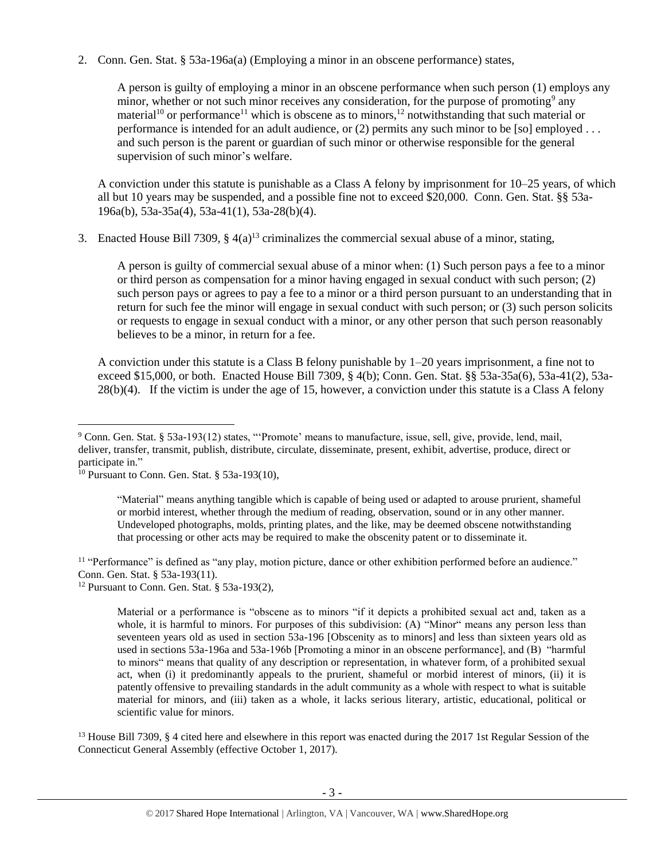2. Conn. Gen. Stat. § 53a-196a(a) (Employing a minor in an obscene performance) states,

<span id="page-2-4"></span><span id="page-2-3"></span><span id="page-2-2"></span><span id="page-2-1"></span>A person is guilty of employing a minor in an obscene performance when such person (1) employs any minor, whether or not such minor receives any consideration, for the purpose of promoting<sup>9</sup> any material<sup>10</sup> or performance<sup>11</sup> which is obscene as to minors,<sup>12</sup> notwithstanding that such material or performance is intended for an adult audience, or (2) permits any such minor to be [so] employed . . . and such person is the parent or guardian of such minor or otherwise responsible for the general supervision of such minor's welfare.

A conviction under this statute is punishable as a Class A felony by imprisonment for 10–25 years, of which all but 10 years may be suspended, and a possible fine not to exceed \$20,000. Conn. Gen. Stat. §§ 53a-196a(b), 53a-35a(4), 53a-41(1), 53a-28(b)(4).

3. Enacted House Bill 7309,  $\S 4(a)^{13}$  criminalizes the commercial sexual abuse of a minor, stating,

<span id="page-2-0"></span>A person is guilty of commercial sexual abuse of a minor when: (1) Such person pays a fee to a minor or third person as compensation for a minor having engaged in sexual conduct with such person; (2) such person pays or agrees to pay a fee to a minor or a third person pursuant to an understanding that in return for such fee the minor will engage in sexual conduct with such person; or (3) such person solicits or requests to engage in sexual conduct with a minor, or any other person that such person reasonably believes to be a minor, in return for a fee.

A conviction under this statute is a Class B felony punishable by 1–20 years imprisonment, a fine not to exceed \$15,000, or both. Enacted House Bill 7309, § 4(b); Conn. Gen. Stat. §§ 53a-35a(6), 53a-41(2), 53a-28(b)(4). If the victim is under the age of 15, however, a conviction under this statute is a Class A felony

 $\overline{a}$ 

"Material" means anything tangible which is capable of being used or adapted to arouse prurient, shameful or morbid interest, whether through the medium of reading, observation, sound or in any other manner. Undeveloped photographs, molds, printing plates, and the like, may be deemed obscene notwithstanding that processing or other acts may be required to make the obscenity patent or to disseminate it.

<sup>11</sup> "Performance" is defined as "any play, motion picture, dance or other exhibition performed before an audience." Conn. Gen. Stat. § 53a-193(11).

<sup>12</sup> Pursuant to Conn. Gen. Stat.  $§$  53a-193(2),

Material or a performance is "obscene as to minors "if it depicts a prohibited sexual act and, taken as a whole, it is harmful to minors. For purposes of this subdivision: (A) "Minor" means any person less than seventeen years old as used in section 53a-196 [Obscenity as to minors] and less than sixteen years old as used in sections 53a-196a and 53a-196b [Promoting a minor in an obscene performance], and (B) "harmful to minors" means that quality of any description or representation, in whatever form, of a prohibited sexual act, when (i) it predominantly appeals to the prurient, shameful or morbid interest of minors, (ii) it is patently offensive to prevailing standards in the adult community as a whole with respect to what is suitable material for minors, and (iii) taken as a whole, it lacks serious literary, artistic, educational, political or scientific value for minors.

<sup>13</sup> House Bill 7309, § 4 cited here and elsewhere in this report was enacted during the 2017 1st Regular Session of the Connecticut General Assembly (effective October 1, 2017).

<sup>9</sup> Conn. Gen. Stat. § 53a-193(12) states, "'Promote' means to manufacture, issue, sell, give, provide, lend, mail, deliver, transfer, transmit, publish, distribute, circulate, disseminate, present, exhibit, advertise, produce, direct or participate in."

<sup>10</sup> Pursuant to Conn. Gen. Stat. § 53a-193(10),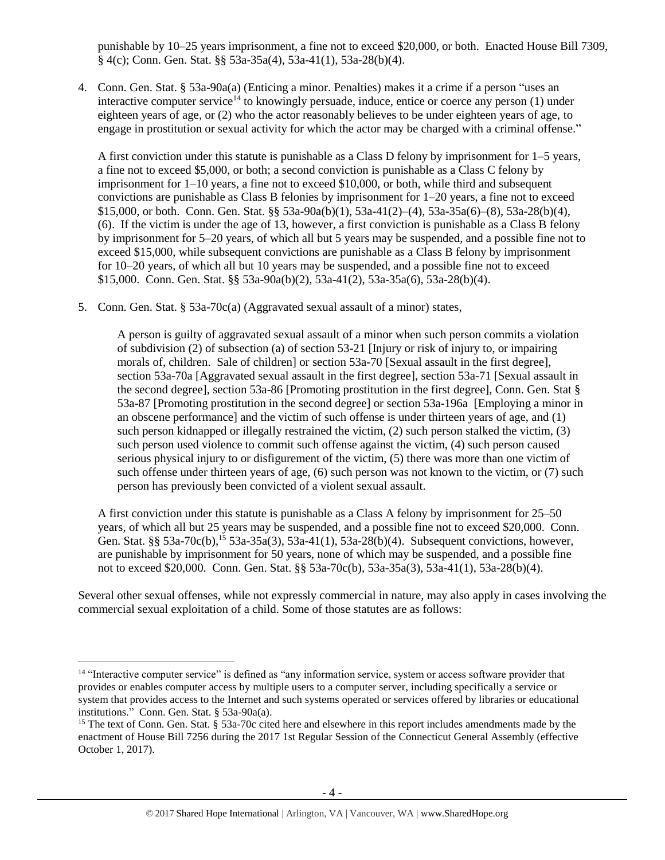<span id="page-3-0"></span>punishable by 10–25 years imprisonment, a fine not to exceed \$20,000, or both. Enacted House Bill 7309, § 4(c); Conn. Gen. Stat. §§ 53a-35a(4), 53a-41(1), 53a-28(b)(4).

4. Conn. Gen. Stat. § 53a-90a(a) (Enticing a minor. Penalties) makes it a crime if a person "uses an interactive computer service<sup>14</sup> to knowingly persuade, induce, entice or coerce any person  $(1)$  under eighteen years of age, or (2) who the actor reasonably believes to be under eighteen years of age, to engage in prostitution or sexual activity for which the actor may be charged with a criminal offense."

A first conviction under this statute is punishable as a Class D felony by imprisonment for 1–5 years, a fine not to exceed \$5,000, or both; a second conviction is punishable as a Class C felony by imprisonment for 1–10 years, a fine not to exceed \$10,000, or both, while third and subsequent convictions are punishable as Class B felonies by imprisonment for 1–20 years, a fine not to exceed \$15,000, or both. Conn. Gen. Stat. §§ 53a-90a(b)(1), 53a-41(2)–(4), 53a-35a(6)–(8), 53a-28(b)(4), (6). If the victim is under the age of 13, however, a first conviction is punishable as a Class B felony by imprisonment for 5–20 years, of which all but 5 years may be suspended, and a possible fine not to exceed \$15,000, while subsequent convictions are punishable as a Class B felony by imprisonment for 10–20 years, of which all but 10 years may be suspended, and a possible fine not to exceed \$15,000. Conn. Gen. Stat. §§ 53a-90a(b)(2), 53a-41(2), 53a-35a(6), 53a-28(b)(4).

5. Conn. Gen. Stat. § 53a-70c(a) (Aggravated sexual assault of a minor) states,

A person is guilty of aggravated sexual assault of a minor when such person commits a violation of subdivision (2) of subsection (a) of section 53-21 [Injury or risk of injury to, or impairing morals of, children. Sale of children] or section 53a-70 [Sexual assault in the first degree], section 53a-70a [Aggravated sexual assault in the first degree], section 53a-71 [Sexual assault in the second degree], section 53a-86 [Promoting prostitution in the first degree], Conn. Gen. Stat § 53a-87 [Promoting prostitution in the second degree] or section 53a-196a [Employing a minor in an obscene performance] and the victim of such offense is under thirteen years of age, and (1) such person kidnapped or illegally restrained the victim, (2) such person stalked the victim, (3) such person used violence to commit such offense against the victim, (4) such person caused serious physical injury to or disfigurement of the victim, (5) there was more than one victim of such offense under thirteen years of age, (6) such person was not known to the victim, or (7) such person has previously been convicted of a violent sexual assault.

<span id="page-3-1"></span>A first conviction under this statute is punishable as a Class A felony by imprisonment for 25–50 years, of which all but 25 years may be suspended, and a possible fine not to exceed \$20,000. Conn. Gen. Stat. §§ 53a-70c(b),<sup>15</sup> 53a-35a(3), 53a-41(1), 53a-28(b)(4). Subsequent convictions, however, are punishable by imprisonment for 50 years, none of which may be suspended, and a possible fine not to exceed \$20,000. Conn. Gen. Stat. §§ 53a-70c(b), 53a-35a(3), 53a-41(1), 53a-28(b)(4).

Several other sexual offenses, while not expressly commercial in nature, may also apply in cases involving the commercial sexual exploitation of a child. Some of those statutes are as follows:

<sup>&</sup>lt;sup>14</sup> "Interactive computer service" is defined as "any information service, system or access software provider that provides or enables computer access by multiple users to a computer server, including specifically a service or system that provides access to the Internet and such systems operated or services offered by libraries or educational institutions." Conn. Gen. Stat. § 53a-90a(a).

<sup>&</sup>lt;sup>15</sup> The text of Conn. Gen. Stat.  $\S$  53a-70c cited here and elsewhere in this report includes amendments made by the enactment of House Bill 7256 during the 2017 1st Regular Session of the Connecticut General Assembly (effective October 1, 2017).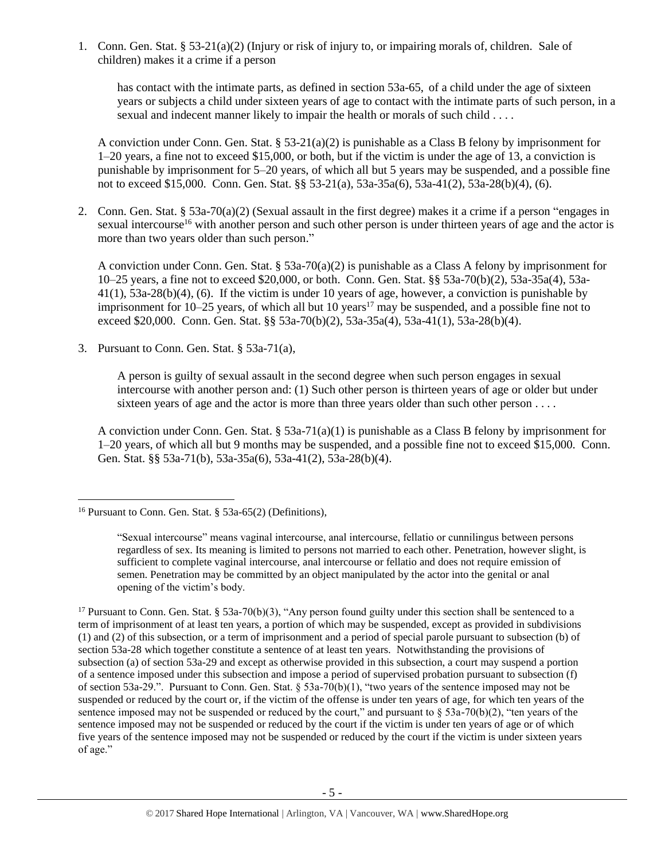1. Conn. Gen. Stat. § 53-21(a)(2) (Injury or risk of injury to, or impairing morals of, children. Sale of children) makes it a crime if a person

has contact with the intimate parts, as defined in section 53a-65, of a child under the age of sixteen years or subjects a child under sixteen years of age to contact with the intimate parts of such person, in a sexual and indecent manner likely to impair the health or morals of such child . . . .

A conviction under Conn. Gen. Stat.  $\S 53-21(a)(2)$  is punishable as a Class B felony by imprisonment for 1–20 years, a fine not to exceed \$15,000, or both, but if the victim is under the age of 13, a conviction is punishable by imprisonment for 5–20 years, of which all but 5 years may be suspended, and a possible fine not to exceed \$15,000. Conn. Gen. Stat. §§ 53-21(a), 53a-35a(6), 53a-41(2), 53a-28(b)(4), (6).

2. Conn. Gen. Stat. § 53a-70(a)(2) (Sexual assault in the first degree) makes it a crime if a person "engages in sexual intercourse<sup>16</sup> with another person and such other person is under thirteen years of age and the actor is more than two years older than such person."

A conviction under Conn. Gen. Stat. § 53a-70(a)(2) is punishable as a Class A felony by imprisonment for 10–25 years, a fine not to exceed \$20,000, or both. Conn. Gen. Stat. §§ 53a-70(b)(2), 53a-35a(4), 53a-41(1), 53a-28(b)(4), (6). If the victim is under 10 years of age, however, a conviction is punishable by imprisonment for  $10-25$  years, of which all but  $10$  years<sup>17</sup> may be suspended, and a possible fine not to exceed \$20,000. Conn. Gen. Stat. §§ 53a-70(b)(2), 53a-35a(4), 53a-41(1), 53a-28(b)(4).

3. Pursuant to Conn. Gen. Stat. § 53a-71(a),

A person is guilty of sexual assault in the second degree when such person engages in sexual intercourse with another person and: (1) Such other person is thirteen years of age or older but under sixteen years of age and the actor is more than three years older than such other person . . . .

A conviction under Conn. Gen. Stat.  $\S 53a-71(a)(1)$  is punishable as a Class B felony by imprisonment for 1–20 years, of which all but 9 months may be suspended, and a possible fine not to exceed \$15,000. Conn. Gen. Stat. §§ 53a-71(b), 53a-35a(6), 53a-41(2), 53a-28(b)(4).

 $\overline{a}$ <sup>16</sup> Pursuant to Conn. Gen. Stat. § 53a-65(2) (Definitions),

<sup>&</sup>quot;Sexual intercourse" means vaginal intercourse, anal intercourse, fellatio or cunnilingus between persons regardless of sex. Its meaning is limited to persons not married to each other. Penetration, however slight, is sufficient to complete vaginal intercourse, anal intercourse or fellatio and does not require emission of semen. Penetration may be committed by an object manipulated by the actor into the genital or anal opening of the victim's body.

<sup>&</sup>lt;sup>17</sup> Pursuant to Conn. Gen. Stat. § 53a-70(b)(3), "Any person found guilty under this section shall be sentenced to a term of imprisonment of at least ten years, a portion of which may be suspended, except as provided in subdivisions (1) and (2) of this subsection, or a term of imprisonment and a period of special parole pursuant to subsection (b) of section 53a-28 which together constitute a sentence of at least ten years. Notwithstanding the provisions of subsection (a) of section 53a-29 and except as otherwise provided in this subsection, a court may suspend a portion of a sentence imposed under this subsection and impose a period of supervised probation pursuant to subsection (f) of section 53a-29.". Pursuant to Conn. Gen. Stat.  $\frac{5}{3}$  53a-70(b)(1), "two years of the sentence imposed may not be suspended or reduced by the court or, if the victim of the offense is under ten years of age, for which ten years of the sentence imposed may not be suspended or reduced by the court," and pursuant to  $\S$  53a-70(b)(2), "ten years of the sentence imposed may not be suspended or reduced by the court if the victim is under ten years of age or of which five years of the sentence imposed may not be suspended or reduced by the court if the victim is under sixteen years of age."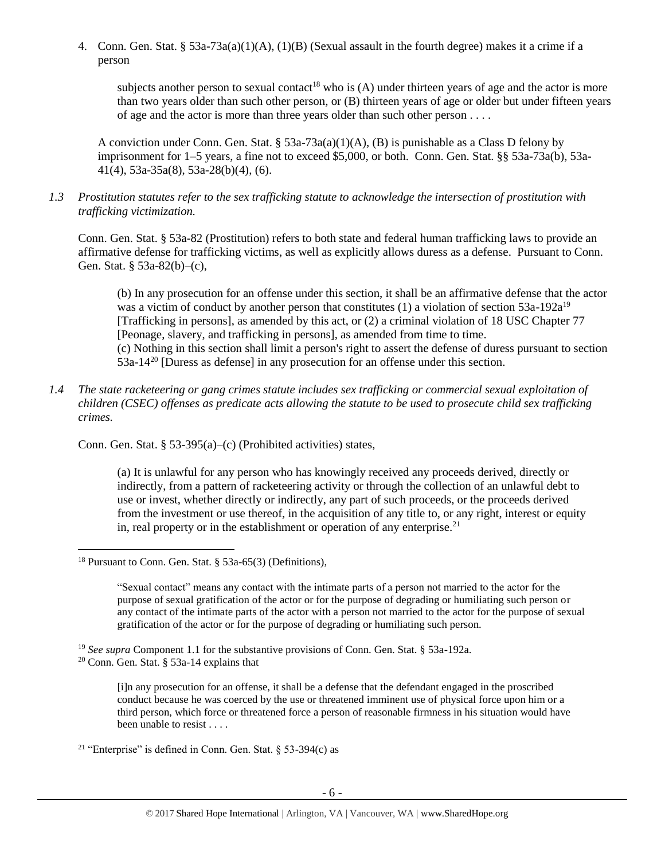4. Conn. Gen. Stat. § 53a-73a(a)(1)(A), (1)(B) (Sexual assault in the fourth degree) makes it a crime if a person

subjects another person to sexual contact<sup>18</sup> who is  $(A)$  under thirteen years of age and the actor is more than two years older than such other person, or (B) thirteen years of age or older but under fifteen years of age and the actor is more than three years older than such other person . . . .

A conviction under Conn. Gen. Stat. §  $53a-73a(a)(1)(A)$ , (B) is punishable as a Class D felony by imprisonment for 1–5 years, a fine not to exceed \$5,000, or both. Conn. Gen. Stat. §§ 53a-73a(b), 53a-41(4), 53a-35a(8), 53a-28(b)(4), (6).

*1.3 Prostitution statutes refer to the sex trafficking statute to acknowledge the intersection of prostitution with trafficking victimization.* 

Conn. Gen. Stat. § 53a-82 (Prostitution) refers to both state and federal human trafficking laws to provide an affirmative defense for trafficking victims, as well as explicitly allows duress as a defense. Pursuant to Conn. Gen. Stat. § 53a-82(b)–(c),

(b) In any prosecution for an offense under this section, it shall be an affirmative defense that the actor was a victim of conduct by another person that constitutes (1) a violation of section  $53a-192a^{19}$ [Trafficking in persons], as amended by this act, or (2) a criminal violation of 18 USC Chapter 77 [Peonage, slavery, and trafficking in persons], as amended from time to time. (c) Nothing in this section shall limit a person's right to assert the defense of duress pursuant to section 53a-14<sup>20</sup> [Duress as defense] in any prosecution for an offense under this section.

*1.4 The state racketeering or gang crimes statute includes sex trafficking or commercial sexual exploitation of children (CSEC) offenses as predicate acts allowing the statute to be used to prosecute child sex trafficking crimes.* 

Conn. Gen. Stat. § 53-395(a)–(c) (Prohibited activities) states,

(a) It is unlawful for any person who has knowingly received any proceeds derived, directly or indirectly, from a pattern of racketeering activity or through the collection of an unlawful debt to use or invest, whether directly or indirectly, any part of such proceeds, or the proceeds derived from the investment or use thereof, in the acquisition of any title to, or any right, interest or equity in, real property or in the establishment or operation of any enterprise.<sup>21</sup>

 $\overline{a}$ 

<sup>21</sup> "Enterprise" is defined in Conn. Gen. Stat.  $\S$  53-394(c) as

<sup>18</sup> Pursuant to Conn. Gen. Stat. § 53a-65(3) (Definitions),

<sup>&</sup>quot;Sexual contact" means any contact with the intimate parts of a person not married to the actor for the purpose of sexual gratification of the actor or for the purpose of degrading or humiliating such person or any contact of the intimate parts of the actor with a person not married to the actor for the purpose of sexual gratification of the actor or for the purpose of degrading or humiliating such person.

<sup>19</sup> *See supra* Component 1.1 for the substantive provisions of Conn. Gen. Stat. § 53a-192a.

<sup>20</sup> Conn. Gen. Stat. § 53a-14 explains that

<sup>[</sup>i]n any prosecution for an offense, it shall be a defense that the defendant engaged in the proscribed conduct because he was coerced by the use or threatened imminent use of physical force upon him or a third person, which force or threatened force a person of reasonable firmness in his situation would have been unable to resist . . . .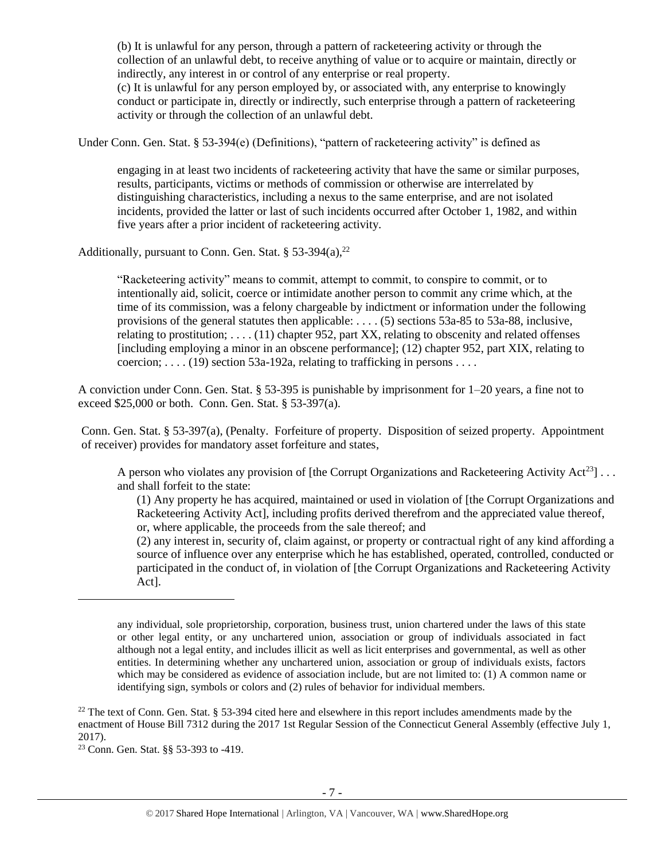(b) It is unlawful for any person, through a pattern of racketeering activity or through the collection of an unlawful debt, to receive anything of value or to acquire or maintain, directly or indirectly, any interest in or control of any enterprise or real property. (c) It is unlawful for any person employed by, or associated with, any enterprise to knowingly conduct or participate in, directly or indirectly, such enterprise through a pattern of racketeering activity or through the collection of an unlawful debt.

Under Conn. Gen. Stat. § 53-394(e) (Definitions), "pattern of racketeering activity" is defined as

engaging in at least two incidents of racketeering activity that have the same or similar purposes, results, participants, victims or methods of commission or otherwise are interrelated by distinguishing characteristics, including a nexus to the same enterprise, and are not isolated incidents, provided the latter or last of such incidents occurred after October 1, 1982, and within five years after a prior incident of racketeering activity.

Additionally, pursuant to Conn. Gen. Stat. § 53-394(a),<sup>22</sup>

"Racketeering activity" means to commit, attempt to commit, to conspire to commit, or to intentionally aid, solicit, coerce or intimidate another person to commit any crime which, at the time of its commission, was a felony chargeable by indictment or information under the following provisions of the general statutes then applicable: . . . . (5) sections 53a-85 to 53a-88, inclusive, relating to prostitution; ...  $(11)$  chapter 952, part XX, relating to obscenity and related offenses [including employing a minor in an obscene performance]; (12) chapter 952, part XIX, relating to coercion;  $\dots$  (19) section 53a-192a, relating to trafficking in persons  $\dots$ 

A conviction under Conn. Gen. Stat. § 53-395 is punishable by imprisonment for 1–20 years, a fine not to exceed \$25,000 or both. Conn. Gen. Stat. § 53-397(a).

Conn. Gen. Stat. § 53-397(a), (Penalty. Forfeiture of property. Disposition of seized property. Appointment of receiver) provides for mandatory asset forfeiture and states,

A person who violates any provision of [the Corrupt Organizations and Racketeering Activity Act<sup>23</sup>]... and shall forfeit to the state:

(1) Any property he has acquired, maintained or used in violation of [the Corrupt Organizations and Racketeering Activity Act], including profits derived therefrom and the appreciated value thereof, or, where applicable, the proceeds from the sale thereof; and

(2) any interest in, security of, claim against, or property or contractual right of any kind affording a source of influence over any enterprise which he has established, operated, controlled, conducted or participated in the conduct of, in violation of [the Corrupt Organizations and Racketeering Activity Act].

any individual, sole proprietorship, corporation, business trust, union chartered under the laws of this state or other legal entity, or any unchartered union, association or group of individuals associated in fact although not a legal entity, and includes illicit as well as licit enterprises and governmental, as well as other entities. In determining whether any unchartered union, association or group of individuals exists, factors which may be considered as evidence of association include, but are not limited to: (1) A common name or identifying sign, symbols or colors and (2) rules of behavior for individual members.

<sup>23</sup> Conn. Gen. Stat. §§ 53-393 to -419.

<sup>&</sup>lt;sup>22</sup> The text of Conn. Gen. Stat. § 53-394 cited here and elsewhere in this report includes amendments made by the enactment of House Bill 7312 during the 2017 1st Regular Session of the Connecticut General Assembly (effective July 1, 2017).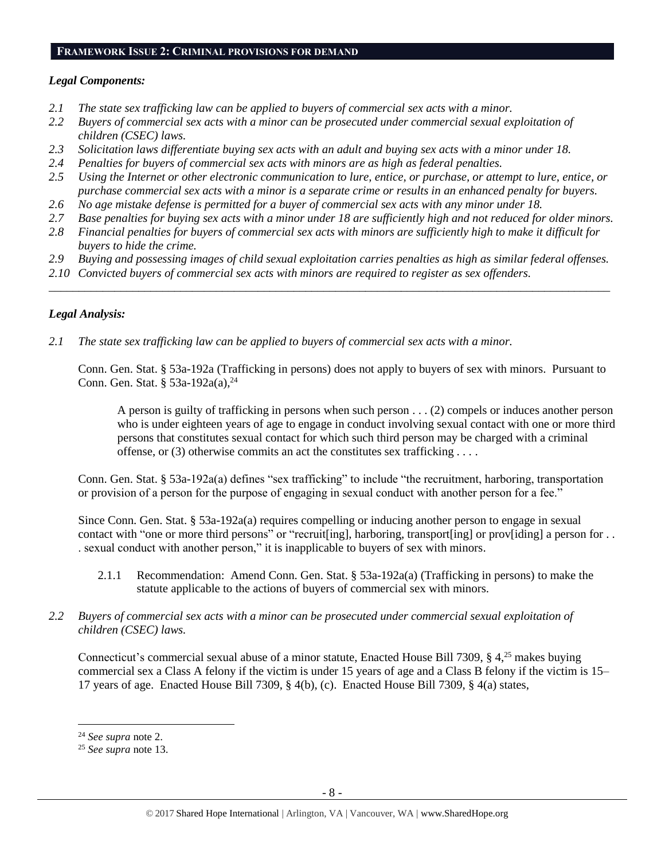#### **FRAMEWORK ISSUE 2: CRIMINAL PROVISIONS FOR DEMAND**

## *Legal Components:*

- *2.1 The state sex trafficking law can be applied to buyers of commercial sex acts with a minor.*
- *2.2 Buyers of commercial sex acts with a minor can be prosecuted under commercial sexual exploitation of children (CSEC) laws.*
- *2.3 Solicitation laws differentiate buying sex acts with an adult and buying sex acts with a minor under 18.*
- *2.4 Penalties for buyers of commercial sex acts with minors are as high as federal penalties.*
- *2.5 Using the Internet or other electronic communication to lure, entice, or purchase, or attempt to lure, entice, or purchase commercial sex acts with a minor is a separate crime or results in an enhanced penalty for buyers.*
- *2.6 No age mistake defense is permitted for a buyer of commercial sex acts with any minor under 18.*
- *2.7 Base penalties for buying sex acts with a minor under 18 are sufficiently high and not reduced for older minors.*
- *2.8 Financial penalties for buyers of commercial sex acts with minors are sufficiently high to make it difficult for buyers to hide the crime.*
- *2.9 Buying and possessing images of child sexual exploitation carries penalties as high as similar federal offenses.*

\_\_\_\_\_\_\_\_\_\_\_\_\_\_\_\_\_\_\_\_\_\_\_\_\_\_\_\_\_\_\_\_\_\_\_\_\_\_\_\_\_\_\_\_\_\_\_\_\_\_\_\_\_\_\_\_\_\_\_\_\_\_\_\_\_\_\_\_\_\_\_\_\_\_\_\_\_\_\_\_\_\_\_\_\_\_\_\_\_\_\_\_\_\_

*2.10 Convicted buyers of commercial sex acts with minors are required to register as sex offenders.* 

# *Legal Analysis:*

*2.1 The state sex trafficking law can be applied to buyers of commercial sex acts with a minor.*

Conn. Gen. Stat. § 53a-192a (Trafficking in persons) does not apply to buyers of sex with minors. Pursuant to Conn. Gen. Stat. § 53a-192a(a),<sup>24</sup>

A person is guilty of trafficking in persons when such person . . . (2) compels or induces another person who is under eighteen years of age to engage in conduct involving sexual contact with one or more third persons that constitutes sexual contact for which such third person may be charged with a criminal offense, or (3) otherwise commits an act the constitutes sex trafficking . . . .

Conn. Gen. Stat. § 53a-192a(a) defines "sex trafficking" to include "the recruitment, harboring, transportation or provision of a person for the purpose of engaging in sexual conduct with another person for a fee."

Since Conn. Gen. Stat. § 53a-192a(a) requires compelling or inducing another person to engage in sexual contact with "one or more third persons" or "recruit[ing], harboring, transport[ing] or prov[iding] a person for . . . sexual conduct with another person," it is inapplicable to buyers of sex with minors.

- 2.1.1 Recommendation: Amend Conn. Gen. Stat. § 53a-192a(a) (Trafficking in persons) to make the statute applicable to the actions of buyers of commercial sex with minors.
- *2.2 Buyers of commercial sex acts with a minor can be prosecuted under commercial sexual exploitation of children (CSEC) laws.*

Connecticut's commercial sexual abuse of a minor statute, Enacted House Bill 7309,  $\S$  4,<sup>25</sup> makes buying commercial sex a Class A felony if the victim is under 15 years of age and a Class B felony if the victim is 15– 17 years of age. Enacted House Bill 7309, § 4(b), (c). Enacted House Bill 7309, § 4(a) states,

<sup>24</sup> *See supra* note [2.](#page-0-0)

<sup>25</sup> *See supra* note [13.](#page-2-0)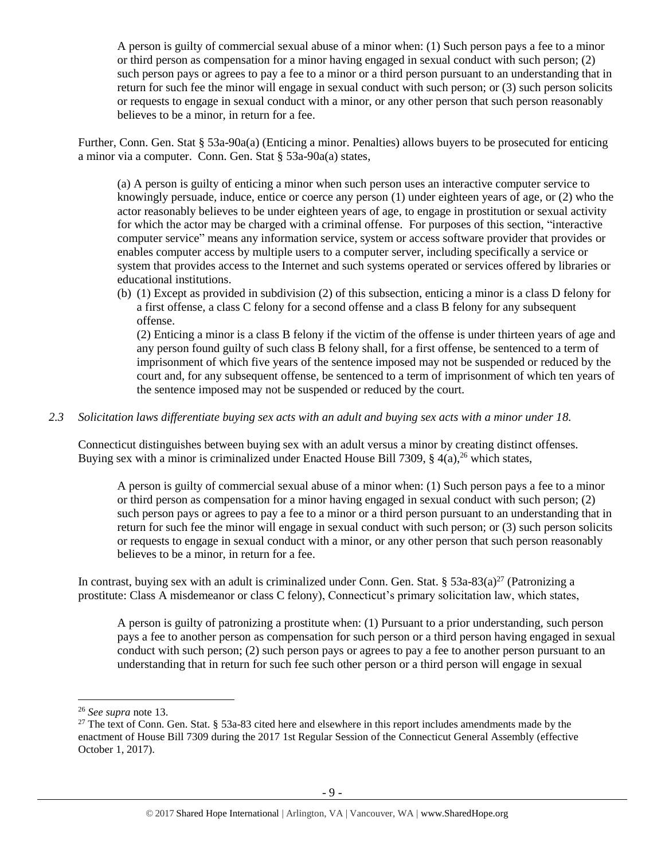A person is guilty of commercial sexual abuse of a minor when: (1) Such person pays a fee to a minor or third person as compensation for a minor having engaged in sexual conduct with such person; (2) such person pays or agrees to pay a fee to a minor or a third person pursuant to an understanding that in return for such fee the minor will engage in sexual conduct with such person; or (3) such person solicits or requests to engage in sexual conduct with a minor, or any other person that such person reasonably believes to be a minor, in return for a fee.

Further, Conn. Gen. Stat § 53a-90a(a) (Enticing a minor. Penalties) allows buyers to be prosecuted for enticing a minor via a computer. Conn. Gen. Stat § 53a-90a(a) states,

(a) A person is guilty of enticing a minor when such person uses an interactive computer service to knowingly persuade, induce, entice or coerce any person (1) under eighteen years of age, or (2) who the actor reasonably believes to be under eighteen years of age, to engage in prostitution or sexual activity for which the actor may be charged with a criminal offense. For purposes of this section, "interactive computer service" means any information service, system or access software provider that provides or enables computer access by multiple users to a computer server, including specifically a service or system that provides access to the Internet and such systems operated or services offered by libraries or educational institutions.

(b) (1) Except as provided in subdivision (2) of this subsection, enticing a minor is a class D felony for a first offense, a class C felony for a second offense and a class B felony for any subsequent offense.

(2) Enticing a minor is a class B felony if the victim of the offense is under thirteen years of age and any person found guilty of such class B felony shall, for a first offense, be sentenced to a term of imprisonment of which five years of the sentence imposed may not be suspended or reduced by the court and, for any subsequent offense, be sentenced to a term of imprisonment of which ten years of the sentence imposed may not be suspended or reduced by the court.

# *2.3 Solicitation laws differentiate buying sex acts with an adult and buying sex acts with a minor under 18.*

Connecticut distinguishes between buying sex with an adult versus a minor by creating distinct offenses. Buying sex with a minor is criminalized under Enacted House Bill 7309,  $\S$  4(a), <sup>26</sup> which states,

A person is guilty of commercial sexual abuse of a minor when: (1) Such person pays a fee to a minor or third person as compensation for a minor having engaged in sexual conduct with such person; (2) such person pays or agrees to pay a fee to a minor or a third person pursuant to an understanding that in return for such fee the minor will engage in sexual conduct with such person; or (3) such person solicits or requests to engage in sexual conduct with a minor, or any other person that such person reasonably believes to be a minor, in return for a fee.

In contrast, buying sex with an adult is criminalized under Conn. Gen. Stat.  $\frac{1}{2}$  53a-83(a)<sup>27</sup> (Patronizing a prostitute: Class A misdemeanor or class C felony), Connecticut's primary solicitation law, which states,

A person is guilty of patronizing a prostitute when: (1) Pursuant to a prior understanding, such person pays a fee to another person as compensation for such person or a third person having engaged in sexual conduct with such person; (2) such person pays or agrees to pay a fee to another person pursuant to an understanding that in return for such fee such other person or a third person will engage in sexual

<sup>26</sup> *See supra* note [13.](#page-2-0)

<sup>&</sup>lt;sup>27</sup> The text of Conn. Gen. Stat. § 53a-83 cited here and elsewhere in this report includes amendments made by the enactment of House Bill 7309 during the 2017 1st Regular Session of the Connecticut General Assembly (effective October 1, 2017).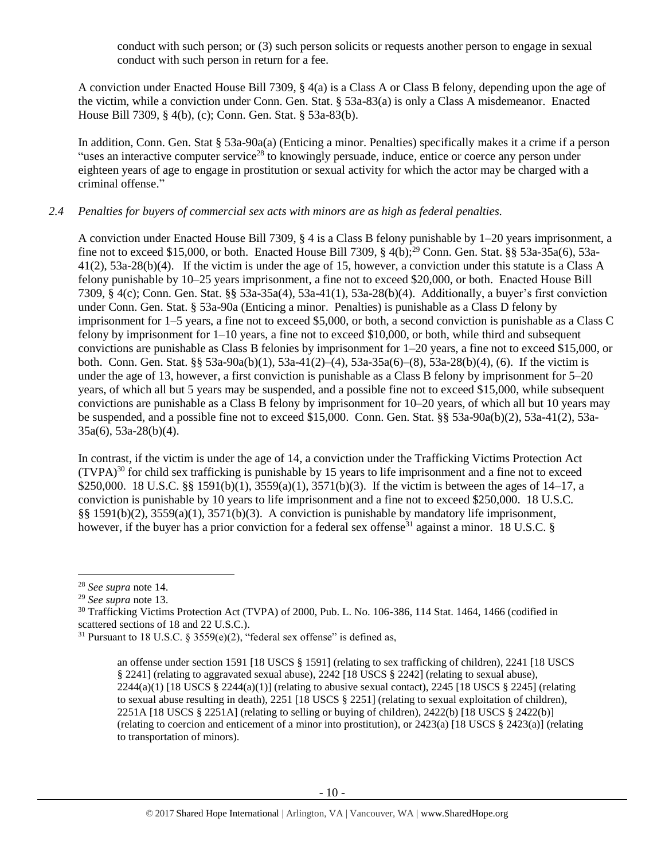conduct with such person; or (3) such person solicits or requests another person to engage in sexual conduct with such person in return for a fee.

A conviction under Enacted House Bill 7309, § 4(a) is a Class A or Class B felony, depending upon the age of the victim, while a conviction under Conn. Gen. Stat. § 53a-83(a) is only a Class A misdemeanor. Enacted House Bill 7309, § 4(b), (c); Conn. Gen. Stat. § 53a-83(b).

In addition, Conn. Gen. Stat § 53a-90a(a) (Enticing a minor. Penalties) specifically makes it a crime if a person "uses an interactive computer service<sup>28</sup> to knowingly persuade, induce, entice or coerce any person under eighteen years of age to engage in prostitution or sexual activity for which the actor may be charged with a criminal offense."

#### *2.4 Penalties for buyers of commercial sex acts with minors are as high as federal penalties.*

A conviction under Enacted House Bill 7309, § 4 is a Class B felony punishable by 1–20 years imprisonment, a fine not to exceed \$15,000, or both. Enacted House Bill 7309, § 4(b);<sup>29</sup> Conn. Gen. Stat. §§ 53a-35a(6), 53a-41(2), 53a-28(b)(4). If the victim is under the age of 15, however, a conviction under this statute is a Class A felony punishable by 10–25 years imprisonment, a fine not to exceed \$20,000, or both. Enacted House Bill 7309, § 4(c); Conn. Gen. Stat. §§ 53a-35a(4), 53a-41(1), 53a-28(b)(4). Additionally, a buyer's first conviction under Conn. Gen. Stat. § 53a-90a (Enticing a minor. Penalties) is punishable as a Class D felony by imprisonment for 1–5 years, a fine not to exceed \$5,000, or both, a second conviction is punishable as a Class C felony by imprisonment for 1–10 years, a fine not to exceed \$10,000, or both, while third and subsequent convictions are punishable as Class B felonies by imprisonment for 1–20 years, a fine not to exceed \$15,000, or both. Conn. Gen. Stat. §§ 53a-90a(b)(1), 53a-41(2)–(4), 53a-35a(6)–(8), 53a-28(b)(4), (6). If the victim is under the age of 13, however, a first conviction is punishable as a Class B felony by imprisonment for 5–20 years, of which all but 5 years may be suspended, and a possible fine not to exceed \$15,000, while subsequent convictions are punishable as a Class B felony by imprisonment for 10–20 years, of which all but 10 years may be suspended, and a possible fine not to exceed \$15,000. Conn. Gen. Stat. §§ 53a-90a(b)(2), 53a-41(2), 53a-35a(6), 53a-28(b)(4).

In contrast, if the victim is under the age of 14, a conviction under the Trafficking Victims Protection Act (TVPA)<sup>30</sup> for child sex trafficking is punishable by 15 years to life imprisonment and a fine not to exceed \$250,000. 18 U.S.C. §§ 1591(b)(1), 3559(a)(1), 3571(b)(3). If the victim is between the ages of 14–17, a conviction is punishable by 10 years to life imprisonment and a fine not to exceed \$250,000. 18 U.S.C. §§ 1591(b)(2), 3559(a)(1), 3571(b)(3). A conviction is punishable by mandatory life imprisonment, however, if the buyer has a prior conviction for a federal sex offense<sup>31</sup> against a minor. 18 U.S.C.  $\S$ 

<sup>28</sup> *See supra* note [14.](#page-3-0) 

<sup>29</sup> *See supra* note [13.](#page-2-0)

<sup>30</sup> Trafficking Victims Protection Act (TVPA) of 2000, Pub. L. No. 106-386, 114 Stat. 1464, 1466 (codified in scattered sections of 18 and 22 U.S.C.).

 $31$  Pursuant to 18 U.S.C. § 3559(e)(2), "federal sex offense" is defined as,

<span id="page-9-0"></span>an offense under section 1591 [18 USCS § 1591] (relating to sex trafficking of children), 2241 [18 USCS § 2241] (relating to aggravated sexual abuse), 2242 [18 USCS § 2242] (relating to sexual abuse),  $2244(a)(1)$  [18 USCS § 2244(a)(1)] (relating to abusive sexual contact), 2245 [18 USCS § 2245] (relating to sexual abuse resulting in death), 2251 [18 USCS § 2251] (relating to sexual exploitation of children), 2251A [18 USCS § 2251A] (relating to selling or buying of children), 2422(b) [18 USCS § 2422(b)] (relating to coercion and enticement of a minor into prostitution), or 2423(a) [18 USCS § 2423(a)] (relating to transportation of minors).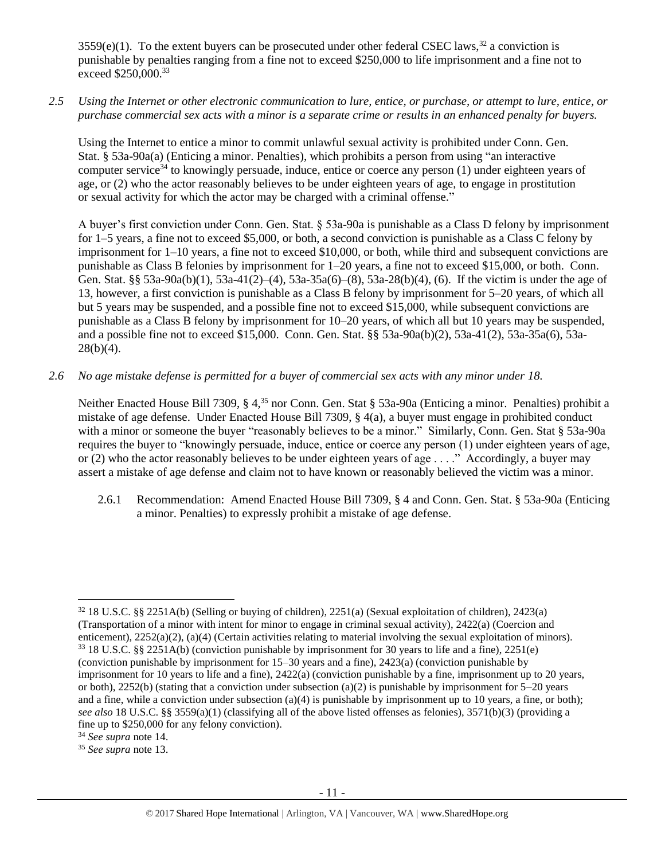$3559(e)(1)$ . To the extent buyers can be prosecuted under other federal CSEC laws,<sup>32</sup> a conviction is punishable by penalties ranging from a fine not to exceed \$250,000 to life imprisonment and a fine not to exceed \$250,000.<sup>33</sup>

*2.5 Using the Internet or other electronic communication to lure, entice, or purchase, or attempt to lure, entice, or purchase commercial sex acts with a minor is a separate crime or results in an enhanced penalty for buyers.*

Using the Internet to entice a minor to commit unlawful sexual activity is prohibited under Conn. Gen. Stat. § 53a-90a(a) (Enticing a minor. Penalties), which prohibits a person from using "an interactive computer service<sup>34</sup> to knowingly persuade, induce, entice or coerce any person (1) under eighteen years of age, or (2) who the actor reasonably believes to be under eighteen years of age, to engage in prostitution or sexual activity for which the actor may be charged with a criminal offense."

A buyer's first conviction under Conn. Gen. Stat. § 53a-90a is punishable as a Class D felony by imprisonment for 1–5 years, a fine not to exceed \$5,000, or both, a second conviction is punishable as a Class C felony by imprisonment for 1–10 years, a fine not to exceed \$10,000, or both, while third and subsequent convictions are punishable as Class B felonies by imprisonment for 1–20 years, a fine not to exceed \$15,000, or both. Conn. Gen. Stat. §§ 53a-90a(b)(1), 53a-41(2)–(4), 53a-35a(6)–(8), 53a-28(b)(4), (6). If the victim is under the age of 13, however, a first conviction is punishable as a Class B felony by imprisonment for 5–20 years, of which all but 5 years may be suspended, and a possible fine not to exceed \$15,000, while subsequent convictions are punishable as a Class B felony by imprisonment for 10–20 years, of which all but 10 years may be suspended, and a possible fine not to exceed \$15,000. Conn. Gen. Stat. §§ 53a-90a(b)(2), 53a-41(2), 53a-35a(6), 53a-28(b)(4).

# *2.6 No age mistake defense is permitted for a buyer of commercial sex acts with any minor under 18.*

Neither Enacted House Bill 7309, § 4,<sup>35</sup> nor Conn. Gen. Stat § 53a-90a (Enticing a minor. Penalties) prohibit a mistake of age defense. Under Enacted House Bill 7309, § 4(a), a buyer must engage in prohibited conduct with a minor or someone the buyer "reasonably believes to be a minor." Similarly, Conn. Gen. Stat § 53a-90a requires the buyer to "knowingly persuade, induce, entice or coerce any person (1) under eighteen years of age, or (2) who the actor reasonably believes to be under eighteen years of age . . . ." Accordingly, a buyer may assert a mistake of age defense and claim not to have known or reasonably believed the victim was a minor.

2.6.1 Recommendation: Amend Enacted House Bill 7309, § 4 and Conn. Gen. Stat. § 53a-90a (Enticing a minor. Penalties) to expressly prohibit a mistake of age defense.

<sup>32</sup> 18 U.S.C. §§ 2251A(b) (Selling or buying of children), 2251(a) (Sexual exploitation of children), 2423(a) (Transportation of a minor with intent for minor to engage in criminal sexual activity), 2422(a) (Coercion and enticement), 2252(a)(2), (a)(4) (Certain activities relating to material involving the sexual exploitation of minors). <sup>33</sup> 18 U.S.C. §§ 2251A(b) (conviction punishable by imprisonment for 30 years to life and a fine), 2251(e) (conviction punishable by imprisonment for 15–30 years and a fine), 2423(a) (conviction punishable by imprisonment for 10 years to life and a fine), 2422(a) (conviction punishable by a fine, imprisonment up to 20 years, or both), 2252(b) (stating that a conviction under subsection (a)(2) is punishable by imprisonment for  $5-20$  years and a fine, while a conviction under subsection (a)(4) is punishable by imprisonment up to 10 years, a fine, or both); *see also* 18 U.S.C. §§ 3559(a)(1) (classifying all of the above listed offenses as felonies), 3571(b)(3) (providing a fine up to \$250,000 for any felony conviction).

<sup>34</sup> *See supra* note [14.](#page-3-0) 

<sup>35</sup> *See supra* note [13.](#page-2-0)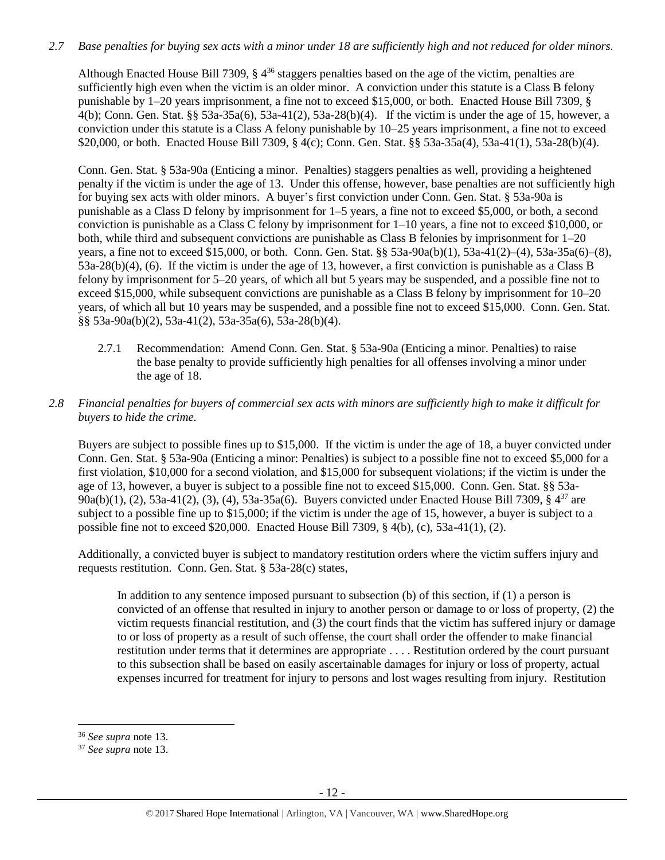# *2.7 Base penalties for buying sex acts with a minor under 18 are sufficiently high and not reduced for older minors.*

Although Enacted House Bill 7309,  $\S 4^{36}$  staggers penalties based on the age of the victim, penalties are sufficiently high even when the victim is an older minor. A conviction under this statute is a Class B felony punishable by 1–20 years imprisonment, a fine not to exceed \$15,000, or both. Enacted House Bill 7309, § 4(b); Conn. Gen. Stat. §§ 53a-35a(6), 53a-41(2), 53a-28(b)(4). If the victim is under the age of 15, however, a conviction under this statute is a Class A felony punishable by 10–25 years imprisonment, a fine not to exceed \$20,000, or both. Enacted House Bill 7309, § 4(c); Conn. Gen. Stat. §§ 53a-35a(4), 53a-41(1), 53a-28(b)(4).

Conn. Gen. Stat. § 53a-90a (Enticing a minor. Penalties) staggers penalties as well, providing a heightened penalty if the victim is under the age of 13. Under this offense, however, base penalties are not sufficiently high for buying sex acts with older minors. A buyer's first conviction under Conn. Gen. Stat. § 53a-90a is punishable as a Class D felony by imprisonment for 1–5 years, a fine not to exceed \$5,000, or both, a second conviction is punishable as a Class C felony by imprisonment for 1–10 years, a fine not to exceed \$10,000, or both, while third and subsequent convictions are punishable as Class B felonies by imprisonment for 1–20 years, a fine not to exceed \$15,000, or both. Conn. Gen. Stat. §§ 53a-90a(b)(1), 53a-41(2)–(4), 53a-35a(6)–(8), 53a-28(b)(4), (6). If the victim is under the age of 13, however, a first conviction is punishable as a Class B felony by imprisonment for 5–20 years, of which all but 5 years may be suspended, and a possible fine not to exceed \$15,000, while subsequent convictions are punishable as a Class B felony by imprisonment for 10–20 years, of which all but 10 years may be suspended, and a possible fine not to exceed \$15,000. Conn. Gen. Stat. §§ 53a-90a(b)(2), 53a-41(2), 53a-35a(6), 53a-28(b)(4).

- 2.7.1 Recommendation: Amend Conn. Gen. Stat. § 53a-90a (Enticing a minor. Penalties) to raise the base penalty to provide sufficiently high penalties for all offenses involving a minor under the age of 18.
- *2.8 Financial penalties for buyers of commercial sex acts with minors are sufficiently high to make it difficult for buyers to hide the crime.*

Buyers are subject to possible fines up to \$15,000. If the victim is under the age of 18, a buyer convicted under Conn. Gen. Stat. § 53a-90a (Enticing a minor: Penalties) is subject to a possible fine not to exceed \$5,000 for a first violation, \$10,000 for a second violation, and \$15,000 for subsequent violations; if the victim is under the age of 13, however, a buyer is subject to a possible fine not to exceed \$15,000. Conn. Gen. Stat. §§ 53a-90a(b)(1), (2), 53a-41(2), (3), (4), 53a-35a(6). Buyers convicted under Enacted House Bill 7309, § 4<sup>37</sup> are subject to a possible fine up to \$15,000; if the victim is under the age of 15, however, a buyer is subject to a possible fine not to exceed \$20,000. Enacted House Bill 7309, § 4(b), (c), 53a-41(1), (2).

Additionally, a convicted buyer is subject to mandatory restitution orders where the victim suffers injury and requests restitution. Conn. Gen. Stat. § 53a-28(c) states,

In addition to any sentence imposed pursuant to subsection (b) of this section, if (1) a person is convicted of an offense that resulted in injury to another person or damage to or loss of property, (2) the victim requests financial restitution, and (3) the court finds that the victim has suffered injury or damage to or loss of property as a result of such offense, the court shall order the offender to make financial restitution under terms that it determines are appropriate . . . . Restitution ordered by the court pursuant to this subsection shall be based on easily ascertainable damages for injury or loss of property, actual expenses incurred for treatment for injury to persons and lost wages resulting from injury. Restitution

 $\overline{a}$ <sup>36</sup> *See supra* note [13.](#page-2-0)

<sup>37</sup> *See supra* note [13.](#page-2-0)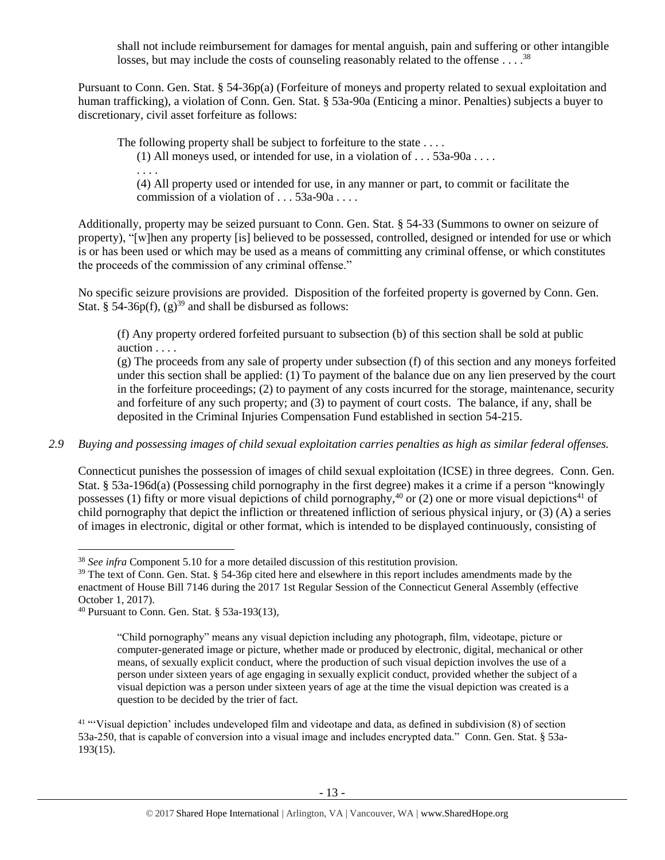shall not include reimbursement for damages for mental anguish, pain and suffering or other intangible losses, but may include the costs of counseling reasonably related to the offense  $\dots$ .<sup>38</sup>

Pursuant to Conn. Gen. Stat. § 54-36p(a) (Forfeiture of moneys and property related to sexual exploitation and human trafficking), a violation of Conn. Gen. Stat. § 53a-90a (Enticing a minor. Penalties) subjects a buyer to discretionary, civil asset forfeiture as follows:

The following property shall be subject to forfeiture to the state ....

(1) All moneys used, or intended for use, in a violation of  $\dots$  53a-90a  $\dots$ . . . . .

(4) All property used or intended for use, in any manner or part, to commit or facilitate the commission of a violation of . . . 53a-90a . . . .

Additionally, property may be seized pursuant to Conn. Gen. Stat. § 54-33 (Summons to owner on seizure of property), "[w]hen any property [is] believed to be possessed, controlled, designed or intended for use or which is or has been used or which may be used as a means of committing any criminal offense, or which constitutes the proceeds of the commission of any criminal offense."

No specific seizure provisions are provided. Disposition of the forfeited property is governed by Conn. Gen. Stat. § 54-36p(f),  $(g)$ <sup>39</sup> and shall be disbursed as follows:

<span id="page-12-1"></span><span id="page-12-0"></span>(f) Any property ordered forfeited pursuant to subsection (b) of this section shall be sold at public auction . . . .

(g) The proceeds from any sale of property under subsection (f) of this section and any moneys forfeited under this section shall be applied: (1) To payment of the balance due on any lien preserved by the court in the forfeiture proceedings; (2) to payment of any costs incurred for the storage, maintenance, security and forfeiture of any such property; and (3) to payment of court costs. The balance, if any, shall be deposited in the Criminal Injuries Compensation Fund established in section 54-215.

*2.9 Buying and possessing images of child sexual exploitation carries penalties as high as similar federal offenses.*

Connecticut punishes the possession of images of child sexual exploitation (ICSE) in three degrees. Conn. Gen. Stat. § 53a-196d(a) (Possessing child pornography in the first degree) makes it a crime if a person "knowingly possesses (1) fifty or more visual depictions of child pornography,<sup>40</sup> or (2) one or more visual depictions<sup>41</sup> of child pornography that depict the infliction or threatened infliction of serious physical injury, or (3) (A) a series of images in electronic, digital or other format, which is intended to be displayed continuously, consisting of

<sup>38</sup> *See infra* Component 5.10 for a more detailed discussion of this restitution provision.

 $39$  The text of Conn. Gen. Stat. § 54-36p cited here and elsewhere in this report includes amendments made by the enactment of House Bill 7146 during the 2017 1st Regular Session of the Connecticut General Assembly (effective October 1, 2017).

<sup>40</sup> Pursuant to Conn. Gen. Stat. § 53a-193(13),

<sup>&</sup>quot;Child pornography" means any visual depiction including any photograph, film, videotape, picture or computer-generated image or picture, whether made or produced by electronic, digital, mechanical or other means, of sexually explicit conduct, where the production of such visual depiction involves the use of a person under sixteen years of age engaging in sexually explicit conduct, provided whether the subject of a visual depiction was a person under sixteen years of age at the time the visual depiction was created is a question to be decided by the trier of fact.

<sup>&</sup>lt;sup>41</sup> "Visual depiction' includes undeveloped film and videotape and data, as defined in subdivision (8) of section 53a-250, that is capable of conversion into a visual image and includes encrypted data." Conn. Gen. Stat. § 53a-193(15).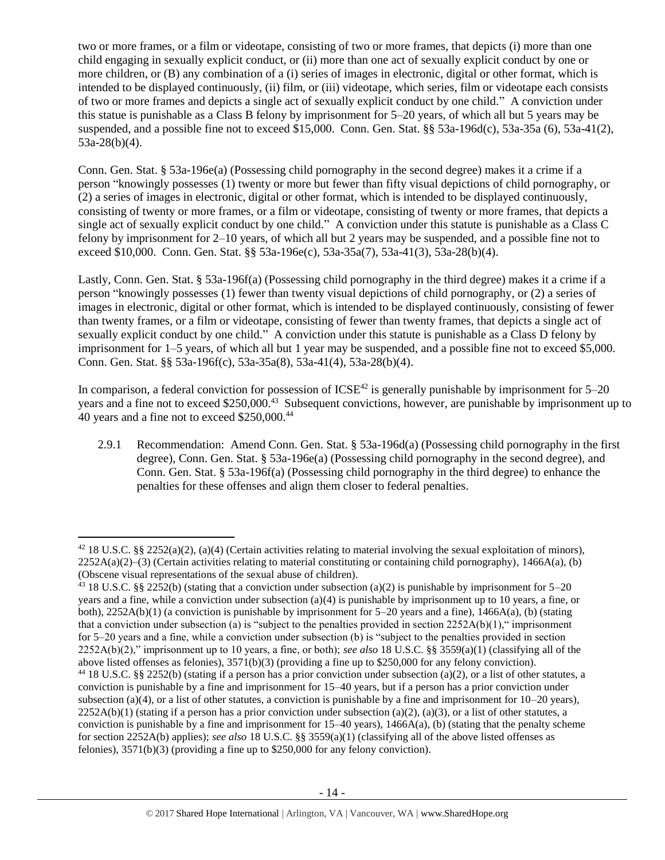two or more frames, or a film or videotape, consisting of two or more frames, that depicts (i) more than one child engaging in sexually explicit conduct, or (ii) more than one act of sexually explicit conduct by one or more children, or (B) any combination of a (i) series of images in electronic, digital or other format, which is intended to be displayed continuously, (ii) film, or (iii) videotape, which series, film or videotape each consists of two or more frames and depicts a single act of sexually explicit conduct by one child." A conviction under this statue is punishable as a Class B felony by imprisonment for 5–20 years, of which all but 5 years may be suspended, and a possible fine not to exceed \$15,000. Conn. Gen. Stat. §§ 53a-196d(c), 53a-35a (6), 53a-41(2), 53a-28(b)(4).

Conn. Gen. Stat. § 53a-196e(a) (Possessing child pornography in the second degree) makes it a crime if a person "knowingly possesses (1) twenty or more but fewer than fifty visual depictions of child pornography, or (2) a series of images in electronic, digital or other format, which is intended to be displayed continuously, consisting of twenty or more frames, or a film or videotape, consisting of twenty or more frames, that depicts a single act of sexually explicit conduct by one child." A conviction under this statute is punishable as a Class C felony by imprisonment for 2–10 years, of which all but 2 years may be suspended, and a possible fine not to exceed \$10,000. Conn. Gen. Stat. §§ 53a-196e(c), 53a-35a(7), 53a-41(3), 53a-28(b)(4).

Lastly, Conn. Gen. Stat. § 53a-196f(a) (Possessing child pornography in the third degree) makes it a crime if a person "knowingly possesses (1) fewer than twenty visual depictions of child pornography, or (2) a series of images in electronic, digital or other format, which is intended to be displayed continuously, consisting of fewer than twenty frames, or a film or videotape, consisting of fewer than twenty frames, that depicts a single act of sexually explicit conduct by one child." A conviction under this statute is punishable as a Class D felony by imprisonment for 1–5 years, of which all but 1 year may be suspended, and a possible fine not to exceed \$5,000. Conn. Gen. Stat. §§ 53a-196f(c), 53a-35a(8), 53a-41(4), 53a-28(b)(4).

In comparison, a federal conviction for possession of  $ICSE^{42}$  is generally punishable by imprisonment for 5–20 years and a fine not to exceed \$250,000.<sup>43</sup> Subsequent convictions, however, are punishable by imprisonment up to 40 years and a fine not to exceed \$250,000.<sup>44</sup>

2.9.1 Recommendation: Amend Conn. Gen. Stat. § 53a-196d(a) (Possessing child pornography in the first degree), Conn. Gen. Stat. § 53a-196e(a) (Possessing child pornography in the second degree), and Conn. Gen. Stat. § 53a-196f(a) (Possessing child pornography in the third degree) to enhance the penalties for these offenses and align them closer to federal penalties.

<sup>&</sup>lt;sup>42</sup> 18 U.S.C. §§ 2252(a)(2), (a)(4) (Certain activities relating to material involving the sexual exploitation of minors),  $2252A(a)(2)$ –(3) (Certain activities relating to material constituting or containing child pornography), 1466A(a), (b) (Obscene visual representations of the sexual abuse of children).

<sup>&</sup>lt;sup>43</sup> 18 U.S.C. §§ 2252(b) (stating that a conviction under subsection (a)(2) is punishable by imprisonment for 5–20 years and a fine, while a conviction under subsection (a)(4) is punishable by imprisonment up to 10 years, a fine, or both),  $2252A(b)(1)$  (a conviction is punishable by imprisonment for  $5-20$  years and a fine),  $1466A(a)$ , (b) (stating that a conviction under subsection (a) is "subject to the penalties provided in section  $2252A(b)(1)$ ," imprisonment for 5–20 years and a fine, while a conviction under subsection (b) is "subject to the penalties provided in section 2252A(b)(2)," imprisonment up to 10 years, a fine, or both); *see also* 18 U.S.C. §§ 3559(a)(1) (classifying all of the above listed offenses as felonies), 3571(b)(3) (providing a fine up to \$250,000 for any felony conviction). <sup>44</sup> 18 U.S.C. §§ 2252(b) (stating if a person has a prior conviction under subsection (a)(2), or a list of other statutes, a conviction is punishable by a fine and imprisonment for 15–40 years, but if a person has a prior conviction under subsection (a)(4), or a list of other statutes, a conviction is punishable by a fine and imprisonment for  $10-20$  years),  $2252A(b)(1)$  (stating if a person has a prior conviction under subsection (a)(2), (a)(3), or a list of other statutes, a conviction is punishable by a fine and imprisonment for  $15-40$  years),  $1466A(a)$ , (b) (stating that the penalty scheme for section 2252A(b) applies); *see also* 18 U.S.C. §§ 3559(a)(1) (classifying all of the above listed offenses as felonies), 3571(b)(3) (providing a fine up to \$250,000 for any felony conviction).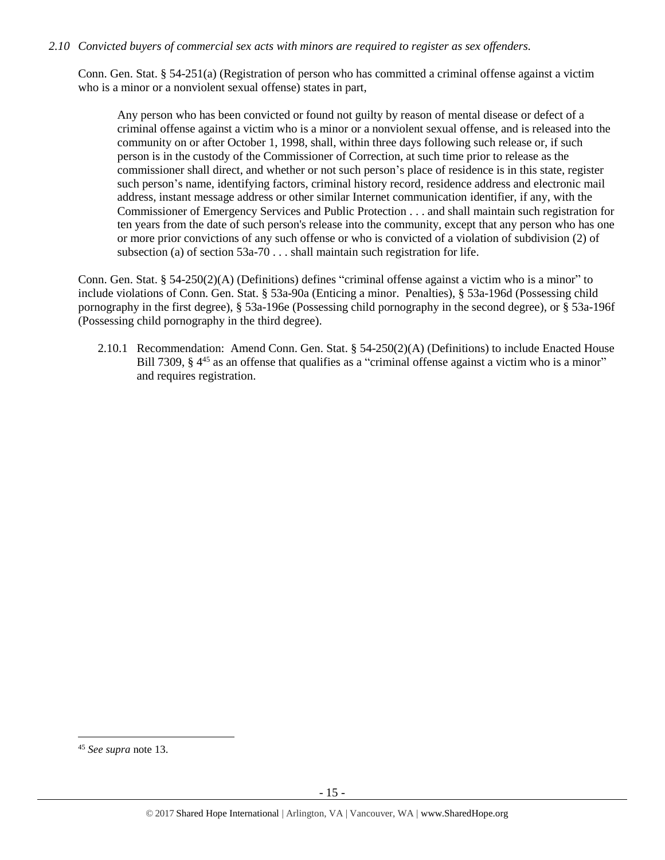## *2.10 Convicted buyers of commercial sex acts with minors are required to register as sex offenders.*

Conn. Gen. Stat. § 54-251(a) (Registration of person who has committed a criminal offense against a victim who is a minor or a nonviolent sexual offense) states in part,

Any person who has been convicted or found not guilty by reason of mental disease or defect of a criminal offense against a victim who is a minor or a nonviolent sexual offense, and is released into the community on or after October 1, 1998, shall, within three days following such release or, if such person is in the custody of the Commissioner of Correction, at such time prior to release as the commissioner shall direct, and whether or not such person's place of residence is in this state, register such person's name, identifying factors, criminal history record, residence address and electronic mail address, instant message address or other similar Internet communication identifier, if any, with the Commissioner of Emergency Services and Public Protection . . . and shall maintain such registration for ten years from the date of such person's release into the community, except that any person who has one or more prior convictions of any such offense or who is convicted of a violation of subdivision (2) of subsection (a) of section 53a-70 . . . shall maintain such registration for life.

Conn. Gen. Stat. § 54-250(2)(A) (Definitions) defines "criminal offense against a victim who is a minor" to include violations of Conn. Gen. Stat. § 53a-90a (Enticing a minor. Penalties), § 53a-196d (Possessing child pornography in the first degree), § 53a-196e (Possessing child pornography in the second degree), or § 53a-196f (Possessing child pornography in the third degree).

2.10.1 Recommendation: Amend Conn. Gen. Stat. § 54-250(2)(A) (Definitions) to include Enacted House Bill 7309, § 4<sup>45</sup> as an offense that qualifies as a "criminal offense against a victim who is a minor" and requires registration.

<sup>45</sup> *See supra* note [13.](#page-2-0)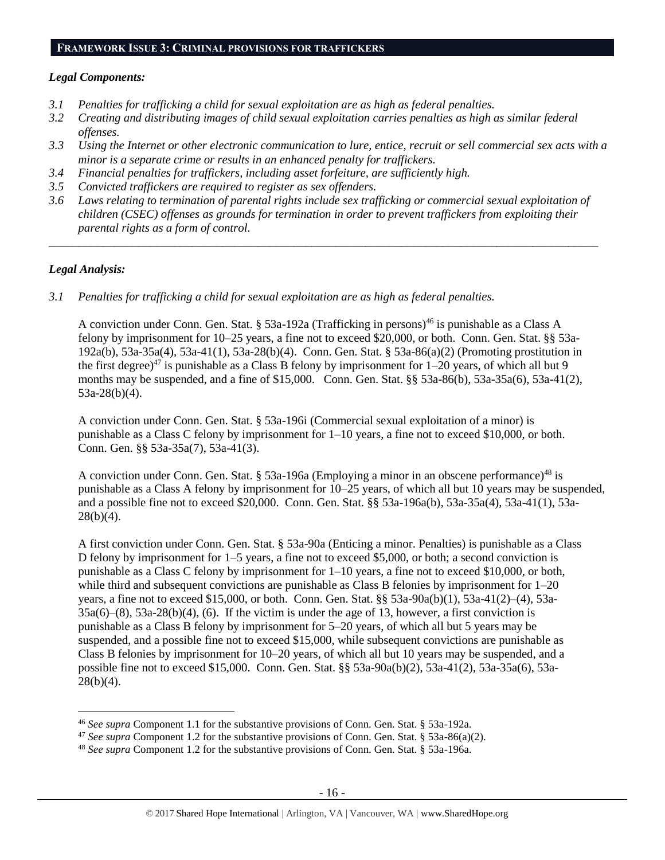# **FRAMEWORK ISSUE 3: CRIMINAL PROVISIONS FOR TRAFFICKERS**

## *Legal Components:*

- *3.1 Penalties for trafficking a child for sexual exploitation are as high as federal penalties.*
- *3.2 Creating and distributing images of child sexual exploitation carries penalties as high as similar federal offenses.*
- *3.3 Using the Internet or other electronic communication to lure, entice, recruit or sell commercial sex acts with a minor is a separate crime or results in an enhanced penalty for traffickers.*
- *3.4 Financial penalties for traffickers, including asset forfeiture, are sufficiently high.*
- *3.5 Convicted traffickers are required to register as sex offenders.*
- *3.6 Laws relating to termination of parental rights include sex trafficking or commercial sexual exploitation of children (CSEC) offenses as grounds for termination in order to prevent traffickers from exploiting their parental rights as a form of control.*

*\_\_\_\_\_\_\_\_\_\_\_\_\_\_\_\_\_\_\_\_\_\_\_\_\_\_\_\_\_\_\_\_\_\_\_\_\_\_\_\_\_\_\_\_\_\_\_\_\_\_\_\_\_\_\_\_\_\_\_\_\_\_\_\_\_\_\_\_\_\_\_\_\_\_\_\_\_\_\_\_\_\_\_\_\_\_\_\_\_\_\_\_*

# *Legal Analysis:*

 $\overline{a}$ 

*3.1 Penalties for trafficking a child for sexual exploitation are as high as federal penalties.* 

A conviction under Conn. Gen. Stat. § 53a-192a (Trafficking in persons)<sup>46</sup> is punishable as a Class A felony by imprisonment for 10–25 years, a fine not to exceed \$20,000, or both. Conn. Gen. Stat. §§ 53a-192a(b), 53a-35a(4), 53a-41(1), 53a-28(b)(4). Conn. Gen. Stat. § 53a-86(a)(2) (Promoting prostitution in the first degree)<sup>47</sup> is punishable as a Class B felony by imprisonment for  $1-20$  years, of which all but 9 months may be suspended, and a fine of \$15,000. Conn. Gen. Stat. §§ 53a-86(b), 53a-35a(6), 53a-41(2), 53a-28(b)(4).

A conviction under Conn. Gen. Stat. § 53a-196i (Commercial sexual exploitation of a minor) is punishable as a Class C felony by imprisonment for 1–10 years, a fine not to exceed \$10,000, or both. Conn. Gen. §§ 53a-35a(7), 53a-41(3).

A conviction under Conn. Gen. Stat. § 53a-196a (Employing a minor in an obscene performance)<sup>48</sup> is punishable as a Class A felony by imprisonment for 10–25 years, of which all but 10 years may be suspended, and a possible fine not to exceed \$20,000. Conn. Gen. Stat. §§ 53a-196a(b), 53a-35a(4), 53a-41(1), 53a- $28(b)(4)$ .

A first conviction under Conn. Gen. Stat. § 53a-90a (Enticing a minor. Penalties) is punishable as a Class D felony by imprisonment for 1–5 years, a fine not to exceed \$5,000, or both; a second conviction is punishable as a Class C felony by imprisonment for 1–10 years, a fine not to exceed \$10,000, or both, while third and subsequent convictions are punishable as Class B felonies by imprisonment for  $1-20$ years, a fine not to exceed \$15,000, or both. Conn. Gen. Stat. §§ 53a-90a(b)(1), 53a-41(2)–(4), 53a- $35a(6)$ – $(8)$ ,  $53a-28(b)(4)$ ,  $(6)$ . If the victim is under the age of 13, however, a first conviction is punishable as a Class B felony by imprisonment for 5–20 years, of which all but 5 years may be suspended, and a possible fine not to exceed \$15,000, while subsequent convictions are punishable as Class B felonies by imprisonment for 10–20 years, of which all but 10 years may be suspended, and a possible fine not to exceed \$15,000. Conn. Gen. Stat. §§ 53a-90a(b)(2), 53a-41(2), 53a-35a(6), 53a- $28(b)(4)$ .

<sup>46</sup> *See supra* Component 1.1 for the substantive provisions of Conn. Gen. Stat. § 53a-192a.

<sup>47</sup> *See supra* Component 1.2 for the substantive provisions of Conn. Gen. Stat. § 53a-86(a)(2).

<sup>48</sup> *See supra* Component 1.2 for the substantive provisions of Conn. Gen. Stat. § 53a-196a.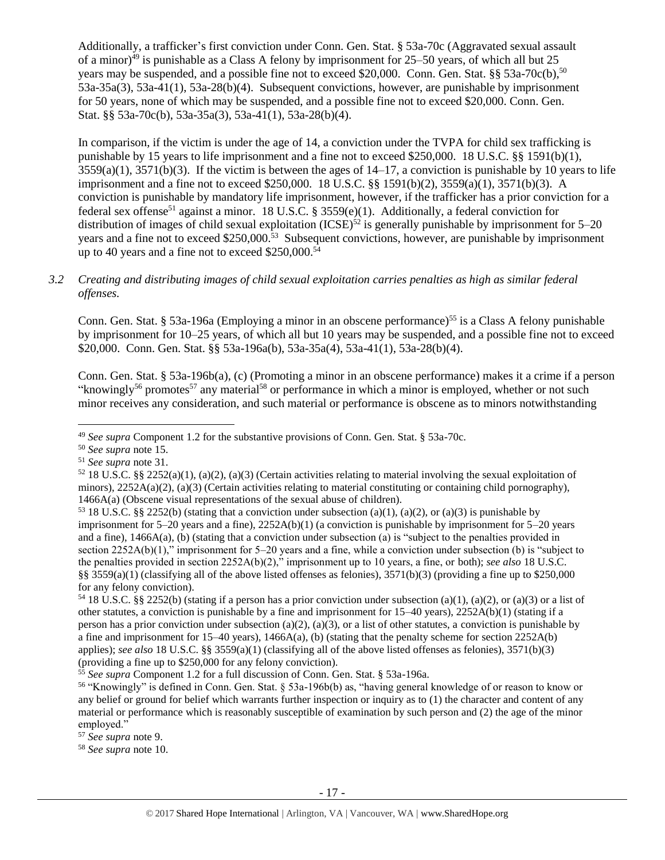Additionally, a trafficker's first conviction under Conn. Gen. Stat. § 53a-70c (Aggravated sexual assault of a minor)<sup>49</sup> is punishable as a Class A felony by imprisonment for  $25-50$  years, of which all but  $25$ years may be suspended, and a possible fine not to exceed \$20,000. Conn. Gen. Stat. §§ 53a-70c(b),<sup>50</sup> 53a-35a(3), 53a-41(1), 53a-28(b)(4). Subsequent convictions, however, are punishable by imprisonment for 50 years, none of which may be suspended, and a possible fine not to exceed \$20,000. Conn. Gen. Stat. §§ 53a-70c(b), 53a-35a(3), 53a-41(1), 53a-28(b)(4).

In comparison, if the victim is under the age of 14, a conviction under the TVPA for child sex trafficking is punishable by 15 years to life imprisonment and a fine not to exceed \$250,000. 18 U.S.C. §§ 1591(b)(1),  $3559(a)(1)$ ,  $3571(b)(3)$ . If the victim is between the ages of  $14-17$ , a conviction is punishable by 10 years to life imprisonment and a fine not to exceed \$250,000. 18 U.S.C. §§ 1591(b)(2), 3559(a)(1), 3571(b)(3). A conviction is punishable by mandatory life imprisonment, however, if the trafficker has a prior conviction for a federal sex offense<sup>51</sup> against a minor. 18 U.S.C. § 3559(e)(1). Additionally, a federal conviction for distribution of images of child sexual exploitation  $(ICSE)^{52}$  is generally punishable by imprisonment for  $5-20$ years and a fine not to exceed \$250,000.<sup>53</sup> Subsequent convictions, however, are punishable by imprisonment up to 40 years and a fine not to exceed  $$250,000$ .<sup>54</sup>

## *3.2 Creating and distributing images of child sexual exploitation carries penalties as high as similar federal offenses.*

Conn. Gen. Stat. § 53a-196a (Employing a minor in an obscene performance)<sup>55</sup> is a Class A felony punishable by imprisonment for 10–25 years, of which all but 10 years may be suspended, and a possible fine not to exceed \$20,000. Conn. Gen. Stat. §§ 53a-196a(b), 53a-35a(4), 53a-41(1), 53a-28(b)(4).

<span id="page-16-0"></span>Conn. Gen. Stat. § 53a-196b(a), (c) (Promoting a minor in an obscene performance) makes it a crime if a person "knowingly<sup>56</sup> promotes<sup>57</sup> any material<sup>58</sup> or performance in which a minor is employed, whether or not such minor receives any consideration, and such material or performance is obscene as to minors notwithstanding

<sup>50</sup> *See supra* note [15.](#page-3-1)

<sup>49</sup> *See supra* Component 1.2 for the substantive provisions of Conn. Gen. Stat. § 53a-70c.

<sup>51</sup> *See supra* note [31.](#page-9-0)

 $52\,18$  U.S.C. §§ 2252(a)(1), (a)(2), (a)(3) (Certain activities relating to material involving the sexual exploitation of minors),  $2252A(a)(2)$ , (a)(3) (Certain activities relating to material constituting or containing child pornography), 1466A(a) (Obscene visual representations of the sexual abuse of children).

<sup>&</sup>lt;sup>53</sup> 18 U.S.C. §§ 2252(b) (stating that a conviction under subsection (a)(1), (a)(2), or (a)(3) is punishable by imprisonment for 5–20 years and a fine), 2252A(b)(1) (a conviction is punishable by imprisonment for 5–20 years and a fine), 1466A(a), (b) (stating that a conviction under subsection (a) is "subject to the penalties provided in section 2252A(b)(1)," imprisonment for 5–20 years and a fine, while a conviction under subsection (b) is "subject to the penalties provided in section 2252A(b)(2)," imprisonment up to 10 years, a fine, or both); *see also* 18 U.S.C. §§ 3559(a)(1) (classifying all of the above listed offenses as felonies),  $3571(b)(3)$  (providing a fine up to \$250,000 for any felony conviction).

<sup>&</sup>lt;sup>54</sup> 18 U.S.C. §§ 2252(b) (stating if a person has a prior conviction under subsection (a)(1), (a)(2), or (a)(3) or a list of other statutes, a conviction is punishable by a fine and imprisonment for  $15-40$  years),  $2252A(b)(1)$  (stating if a person has a prior conviction under subsection (a)(2), (a)(3), or a list of other statutes, a conviction is punishable by a fine and imprisonment for  $15-40$  years),  $1466A(a)$ , (b) (stating that the penalty scheme for section  $2252A(b)$ applies); *see also* 18 U.S.C. §§ 3559(a)(1) (classifying all of the above listed offenses as felonies), 3571(b)(3) (providing a fine up to \$250,000 for any felony conviction).

<sup>55</sup> *See supra* Component 1.2 for a full discussion of Conn. Gen. Stat. § 53a-196a.

<sup>56</sup> "Knowingly" is defined in Conn. Gen. Stat. § 53a-196b(b) as, "having general knowledge of or reason to know or any belief or ground for belief which warrants further inspection or inquiry as to (1) the character and content of any material or performance which is reasonably susceptible of examination by such person and (2) the age of the minor employed."

<sup>57</sup> *See supra* note [9.](#page-2-1)

<sup>58</sup> *See supra* note [10.](#page-2-2)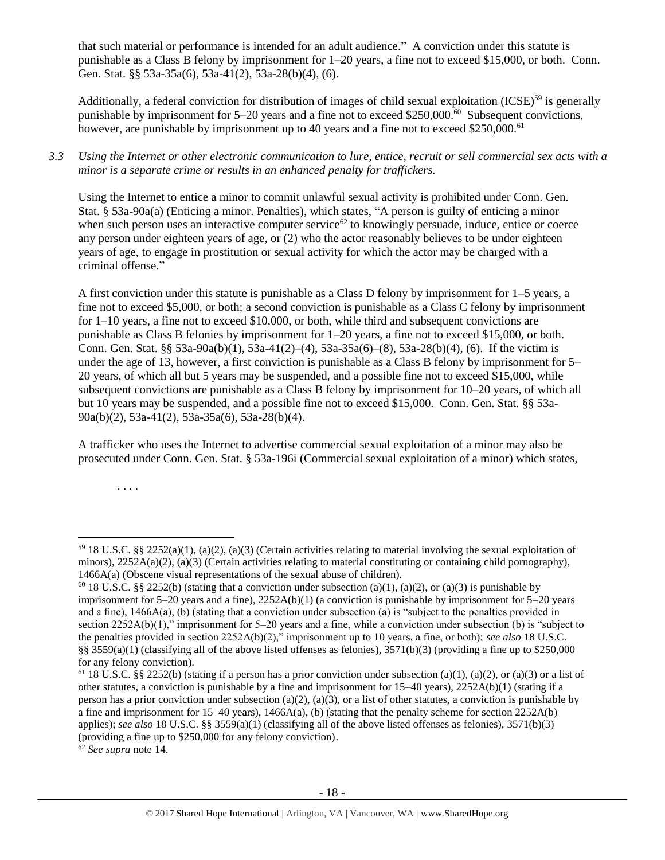that such material or performance is intended for an adult audience." A conviction under this statute is punishable as a Class B felony by imprisonment for 1–20 years, a fine not to exceed \$15,000, or both. Conn. Gen. Stat. §§ 53a-35a(6), 53a-41(2), 53a-28(b)(4), (6).

Additionally, a federal conviction for distribution of images of child sexual exploitation (ICSE)<sup>59</sup> is generally punishable by imprisonment for 5–20 years and a fine not to exceed \$250,000.<sup>60</sup> Subsequent convictions, however, are punishable by imprisonment up to 40 years and a fine not to exceed \$250,000.<sup>61</sup>

*3.3 Using the Internet or other electronic communication to lure, entice, recruit or sell commercial sex acts with a minor is a separate crime or results in an enhanced penalty for traffickers.*

Using the Internet to entice a minor to commit unlawful sexual activity is prohibited under Conn. Gen. Stat. § 53a-90a(a) (Enticing a minor. Penalties), which states, "A person is guilty of enticing a minor when such person uses an interactive computer service<sup> $62$ </sup> to knowingly persuade, induce, entice or coerce any person under eighteen years of age, or (2) who the actor reasonably believes to be under eighteen years of age, to engage in prostitution or sexual activity for which the actor may be charged with a criminal offense."

A first conviction under this statute is punishable as a Class D felony by imprisonment for 1–5 years, a fine not to exceed \$5,000, or both; a second conviction is punishable as a Class C felony by imprisonment for 1–10 years, a fine not to exceed \$10,000, or both, while third and subsequent convictions are punishable as Class B felonies by imprisonment for 1–20 years, a fine not to exceed \$15,000, or both. Conn. Gen. Stat. §§ 53a-90a(b)(1), 53a-41(2)–(4), 53a-35a(6)–(8), 53a-28(b)(4), (6). If the victim is under the age of 13, however, a first conviction is punishable as a Class B felony by imprisonment for 5– 20 years, of which all but 5 years may be suspended, and a possible fine not to exceed \$15,000, while subsequent convictions are punishable as a Class B felony by imprisonment for 10–20 years, of which all but 10 years may be suspended, and a possible fine not to exceed \$15,000. Conn. Gen. Stat. §§ 53a-90a(b)(2), 53a-41(2), 53a-35a(6), 53a-28(b)(4).

A trafficker who uses the Internet to advertise commercial sexual exploitation of a minor may also be prosecuted under Conn. Gen. Stat. § 53a-196i (Commercial sexual exploitation of a minor) which states,

. . . .

 $\overline{a}$ 

<sup>62</sup> *See supra* note [14.](#page-3-0)

<sup>59</sup> 18 U.S.C. §§ 2252(a)(1), (a)(2), (a)(3) (Certain activities relating to material involving the sexual exploitation of minors),  $2252A(a)(2)$ , (a)(3) (Certain activities relating to material constituting or containing child pornography), 1466A(a) (Obscene visual representations of the sexual abuse of children).

<sup>&</sup>lt;sup>60</sup> 18 U.S.C. §§ 2252(b) (stating that a conviction under subsection (a)(1), (a)(2), or (a)(3) is punishable by imprisonment for 5–20 years and a fine), 2252A(b)(1) (a conviction is punishable by imprisonment for 5–20 years and a fine), 1466A(a), (b) (stating that a conviction under subsection (a) is "subject to the penalties provided in section 2252A(b)(1)," imprisonment for 5–20 years and a fine, while a conviction under subsection (b) is "subject to the penalties provided in section 2252A(b)(2)," imprisonment up to 10 years, a fine, or both); *see also* 18 U.S.C. §§ 3559(a)(1) (classifying all of the above listed offenses as felonies),  $3571(b)(3)$  (providing a fine up to \$250,000 for any felony conviction).

<sup>&</sup>lt;sup>61</sup> 18 U.S.C. §§ 2252(b) (stating if a person has a prior conviction under subsection (a)(1), (a)(2), or (a)(3) or a list of other statutes, a conviction is punishable by a fine and imprisonment for 15–40 years), 2252A(b)(1) (stating if a person has a prior conviction under subsection (a)(2), (a)(3), or a list of other statutes, a conviction is punishable by a fine and imprisonment for  $15-40$  years),  $1466A(a)$ , (b) (stating that the penalty scheme for section  $2252A(b)$ applies); *see also* 18 U.S.C. §§ 3559(a)(1) (classifying all of the above listed offenses as felonies), 3571(b)(3) (providing a fine up to \$250,000 for any felony conviction).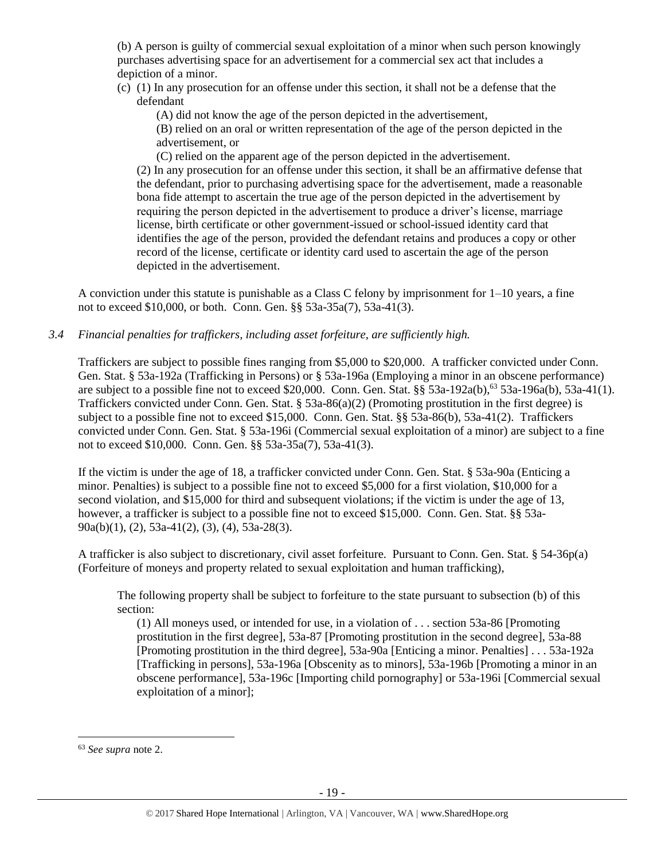(b) A person is guilty of commercial sexual exploitation of a minor when such person knowingly purchases advertising space for an advertisement for a commercial sex act that includes a depiction of a minor.

(c) (1) In any prosecution for an offense under this section, it shall not be a defense that the defendant

(A) did not know the age of the person depicted in the advertisement,

(B) relied on an oral or written representation of the age of the person depicted in the advertisement, or

(C) relied on the apparent age of the person depicted in the advertisement. (2) In any prosecution for an offense under this section, it shall be an affirmative defense that the defendant, prior to purchasing advertising space for the advertisement, made a reasonable bona fide attempt to ascertain the true age of the person depicted in the advertisement by requiring the person depicted in the advertisement to produce a driver's license, marriage license, birth certificate or other government-issued or school-issued identity card that identifies the age of the person, provided the defendant retains and produces a copy or other record of the license, certificate or identity card used to ascertain the age of the person depicted in the advertisement.

A conviction under this statute is punishable as a Class C felony by imprisonment for 1–10 years, a fine not to exceed \$10,000, or both. Conn. Gen. §§ 53a-35a(7), 53a-41(3).

# *3.4 Financial penalties for traffickers, including asset forfeiture, are sufficiently high.*

Traffickers are subject to possible fines ranging from \$5,000 to \$20,000. A trafficker convicted under Conn. Gen. Stat. § 53a-192a (Trafficking in Persons) or § 53a-196a (Employing a minor in an obscene performance) are subject to a possible fine not to exceed \$20,000. Conn. Gen. Stat.  $\S$ § 53a-192a(b),<sup>63</sup> 53a-196a(b), 53a-41(1). Traffickers convicted under Conn. Gen. Stat. § 53a-86(a)(2) (Promoting prostitution in the first degree) is subject to a possible fine not to exceed \$15,000. Conn. Gen. Stat. §§ 53a-86(b), 53a-41(2). Traffickers convicted under Conn. Gen. Stat. § 53a-196i (Commercial sexual exploitation of a minor) are subject to a fine not to exceed \$10,000. Conn. Gen. §§ 53a-35a(7), 53a-41(3).

If the victim is under the age of 18, a trafficker convicted under Conn. Gen. Stat. § 53a-90a (Enticing a minor. Penalties) is subject to a possible fine not to exceed \$5,000 for a first violation, \$10,000 for a second violation, and \$15,000 for third and subsequent violations; if the victim is under the age of 13, however, a trafficker is subject to a possible fine not to exceed \$15,000. Conn. Gen. Stat. §§ 53a-90a(b)(1), (2), 53a-41(2), (3), (4), 53a-28(3).

A trafficker is also subject to discretionary, civil asset forfeiture. Pursuant to Conn. Gen. Stat. § 54-36p(a) (Forfeiture of moneys and property related to sexual exploitation and human trafficking),

The following property shall be subject to forfeiture to the state pursuant to subsection (b) of this section:

(1) All moneys used, or intended for use, in a violation of . . . section 53a-86 [Promoting prostitution in the first degree], 53a-87 [Promoting prostitution in the second degree], 53a-88 [Promoting prostitution in the third degree], 53a-90a [Enticing a minor. Penalties] . . . 53a-192a [Trafficking in persons], 53a-196a [Obscenity as to minors], 53a-196b [Promoting a minor in an obscene performance], 53a-196c [Importing child pornography] or 53a-196i [Commercial sexual exploitation of a minor];

<sup>63</sup> *See supra* note [2.](#page-0-0)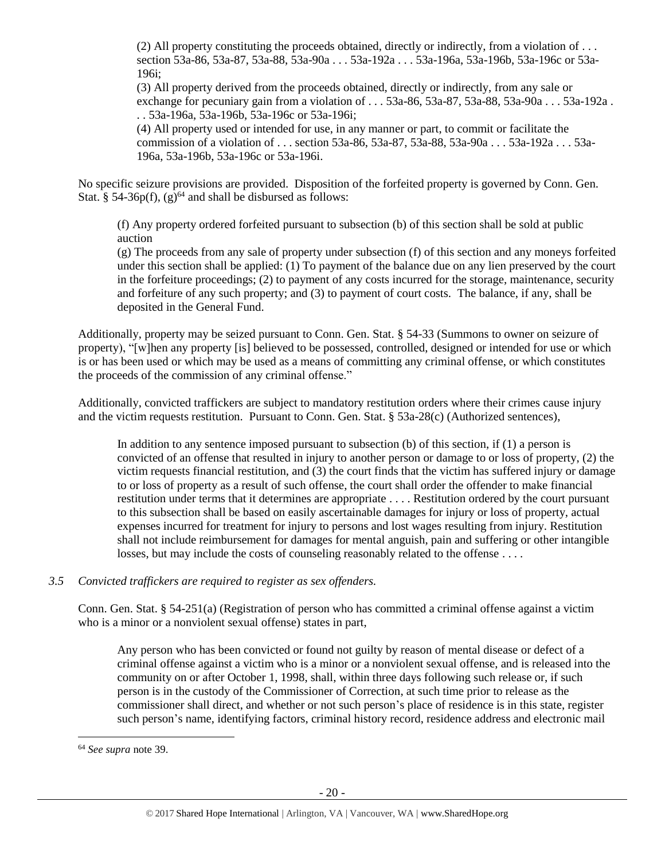(2) All property constituting the proceeds obtained, directly or indirectly, from a violation of . . . section 53a-86, 53a-87, 53a-88, 53a-90a . . . 53a-192a . . . 53a-196a, 53a-196b, 53a-196c or 53a-196i;

(3) All property derived from the proceeds obtained, directly or indirectly, from any sale or exchange for pecuniary gain from a violation of . . . 53a-86, 53a-87, 53a-88, 53a-90a . . . 53a-192a . . . 53a-196a, 53a-196b, 53a-196c or 53a-196i;

(4) All property used or intended for use, in any manner or part, to commit or facilitate the commission of a violation of . . . section 53a-86, 53a-87, 53a-88, 53a-90a . . . 53a-192a . . . 53a-196a, 53a-196b, 53a-196c or 53a-196i.

No specific seizure provisions are provided. Disposition of the forfeited property is governed by Conn. Gen. Stat. § 54-36p(f),  $(g)^{64}$  and shall be disbursed as follows:

(f) Any property ordered forfeited pursuant to subsection (b) of this section shall be sold at public auction

(g) The proceeds from any sale of property under subsection (f) of this section and any moneys forfeited under this section shall be applied: (1) To payment of the balance due on any lien preserved by the court in the forfeiture proceedings; (2) to payment of any costs incurred for the storage, maintenance, security and forfeiture of any such property; and (3) to payment of court costs. The balance, if any, shall be deposited in the General Fund.

Additionally, property may be seized pursuant to Conn. Gen. Stat. § 54-33 (Summons to owner on seizure of property), "[w]hen any property [is] believed to be possessed, controlled, designed or intended for use or which is or has been used or which may be used as a means of committing any criminal offense, or which constitutes the proceeds of the commission of any criminal offense."

Additionally, convicted traffickers are subject to mandatory restitution orders where their crimes cause injury and the victim requests restitution. Pursuant to Conn. Gen. Stat. § 53a-28(c) (Authorized sentences),

In addition to any sentence imposed pursuant to subsection (b) of this section, if (1) a person is convicted of an offense that resulted in injury to another person or damage to or loss of property, (2) the victim requests financial restitution, and (3) the court finds that the victim has suffered injury or damage to or loss of property as a result of such offense, the court shall order the offender to make financial restitution under terms that it determines are appropriate . . . . Restitution ordered by the court pursuant to this subsection shall be based on easily ascertainable damages for injury or loss of property, actual expenses incurred for treatment for injury to persons and lost wages resulting from injury. Restitution shall not include reimbursement for damages for mental anguish, pain and suffering or other intangible losses, but may include the costs of counseling reasonably related to the offense ....

## *3.5 Convicted traffickers are required to register as sex offenders.*

Conn. Gen. Stat. § 54-251(a) (Registration of person who has committed a criminal offense against a victim who is a minor or a nonviolent sexual offense) states in part,

Any person who has been convicted or found not guilty by reason of mental disease or defect of a criminal offense against a victim who is a minor or a nonviolent sexual offense, and is released into the community on or after October 1, 1998, shall, within three days following such release or, if such person is in the custody of the Commissioner of Correction, at such time prior to release as the commissioner shall direct, and whether or not such person's place of residence is in this state, register such person's name, identifying factors, criminal history record, residence address and electronic mail

<sup>64</sup> *See supra* note [39.](#page-12-0)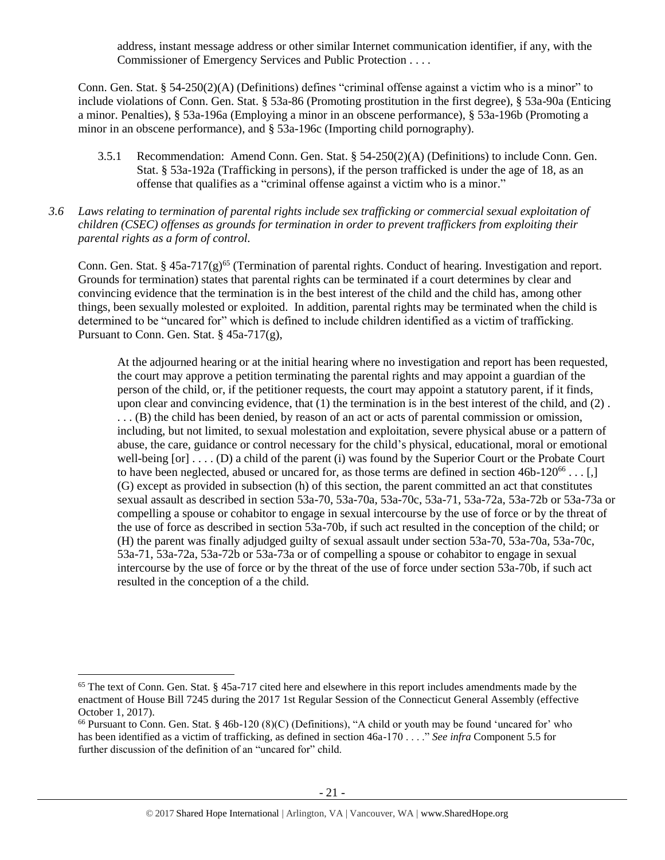address, instant message address or other similar Internet communication identifier, if any, with the Commissioner of Emergency Services and Public Protection . . . .

Conn. Gen. Stat. § 54-250(2)(A) (Definitions) defines "criminal offense against a victim who is a minor" to include violations of Conn. Gen. Stat. § 53a-86 (Promoting prostitution in the first degree), § 53a-90a (Enticing a minor. Penalties), § 53a-196a (Employing a minor in an obscene performance), § 53a-196b (Promoting a minor in an obscene performance), and § 53a-196c (Importing child pornography).

- 3.5.1 Recommendation: Amend Conn. Gen. Stat. § 54-250(2)(A) (Definitions) to include Conn. Gen. Stat. § 53a-192a (Trafficking in persons), if the person trafficked is under the age of 18, as an offense that qualifies as a "criminal offense against a victim who is a minor."
- *3.6 Laws relating to termination of parental rights include sex trafficking or commercial sexual exploitation of children (CSEC) offenses as grounds for termination in order to prevent traffickers from exploiting their parental rights as a form of control.*

Conn. Gen. Stat. § 45a-717 $(g)$ <sup>65</sup> (Termination of parental rights. Conduct of hearing. Investigation and report. Grounds for termination) states that parental rights can be terminated if a court determines by clear and convincing evidence that the termination is in the best interest of the child and the child has, among other things, been sexually molested or exploited. In addition, parental rights may be terminated when the child is determined to be "uncared for" which is defined to include children identified as a victim of trafficking. Pursuant to Conn. Gen. Stat. § 45a-717(g),

At the adjourned hearing or at the initial hearing where no investigation and report has been requested, the court may approve a petition terminating the parental rights and may appoint a guardian of the person of the child, or, if the petitioner requests, the court may appoint a statutory parent, if it finds, upon clear and convincing evidence, that (1) the termination is in the best interest of the child, and (2) . . . . (B) the child has been denied, by reason of an act or acts of parental commission or omission, including, but not limited, to sexual molestation and exploitation, severe physical abuse or a pattern of abuse, the care, guidance or control necessary for the child's physical, educational, moral or emotional well-being [or] . . . . (D) a child of the parent (i) was found by the Superior Court or the Probate Court to have been neglected, abused or uncared for, as those terms are defined in section  $46b-120^{66} \dots$  [1] (G) except as provided in subsection (h) of this section, the parent committed an act that constitutes sexual assault as described in section 53a-70, 53a-70a, 53a-70c, 53a-71, 53a-72a, 53a-72b or 53a-73a or compelling a spouse or cohabitor to engage in sexual intercourse by the use of force or by the threat of the use of force as described in section 53a-70b, if such act resulted in the conception of the child; or (H) the parent was finally adjudged guilty of sexual assault under section 53a-70, 53a-70a, 53a-70c, 53a-71, 53a-72a, 53a-72b or 53a-73a or of compelling a spouse or cohabitor to engage in sexual intercourse by the use of force or by the threat of the use of force under section 53a-70b, if such act resulted in the conception of a the child.

<sup>65</sup> The text of Conn. Gen. Stat. § 45a-717 cited here and elsewhere in this report includes amendments made by the enactment of House Bill 7245 during the 2017 1st Regular Session of the Connecticut General Assembly (effective October 1, 2017).

<sup>66</sup> Pursuant to Conn. Gen. Stat. § 46b-120 (8)(C) (Definitions), "A child or youth may be found 'uncared for' who has been identified as a victim of trafficking, as defined in section 46a-170 . . . ." *See infra* Component 5.5 for further discussion of the definition of an "uncared for" child.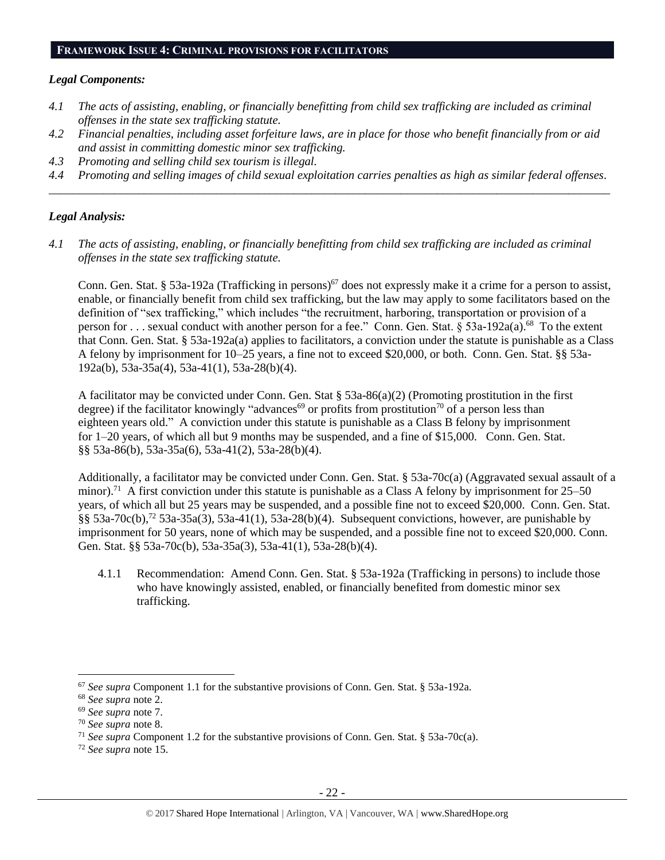#### **FRAMEWORK ISSUE 4: CRIMINAL PROVISIONS FOR FACILITATORS**

#### *Legal Components:*

- *4.1 The acts of assisting, enabling, or financially benefitting from child sex trafficking are included as criminal offenses in the state sex trafficking statute.*
- *4.2 Financial penalties, including asset forfeiture laws, are in place for those who benefit financially from or aid and assist in committing domestic minor sex trafficking.*
- *4.3 Promoting and selling child sex tourism is illegal.*
- *4.4 Promoting and selling images of child sexual exploitation carries penalties as high as similar federal offenses. \_\_\_\_\_\_\_\_\_\_\_\_\_\_\_\_\_\_\_\_\_\_\_\_\_\_\_\_\_\_\_\_\_\_\_\_\_\_\_\_\_\_\_\_\_\_\_\_\_\_\_\_\_\_\_\_\_\_\_\_\_\_\_\_\_\_\_\_\_\_\_\_\_\_\_\_\_\_\_\_\_\_\_\_\_\_\_\_\_\_\_\_\_\_*

### *Legal Analysis:*

*4.1 The acts of assisting, enabling, or financially benefitting from child sex trafficking are included as criminal offenses in the state sex trafficking statute.*

Conn. Gen. Stat. § 53a-192a (Trafficking in persons)<sup>67</sup> does not expressly make it a crime for a person to assist, enable, or financially benefit from child sex trafficking, but the law may apply to some facilitators based on the definition of "sex trafficking," which includes "the recruitment, harboring, transportation or provision of a person for . . . sexual conduct with another person for a fee." Conn. Gen. Stat.  $\S 53a-192a(a)$ .<sup>68</sup> To the extent that Conn. Gen. Stat. § 53a-192a(a) applies to facilitators, a conviction under the statute is punishable as a Class A felony by imprisonment for 10–25 years, a fine not to exceed \$20,000, or both. Conn. Gen. Stat. §§ 53a-192a(b), 53a-35a(4), 53a-41(1), 53a-28(b)(4).

A facilitator may be convicted under Conn. Gen. Stat § 53a-86(a)(2) (Promoting prostitution in the first degree) if the facilitator knowingly "advances<sup>69</sup> or profits from prostitution<sup>70</sup> of a person less than eighteen years old." A conviction under this statute is punishable as a Class B felony by imprisonment for 1–20 years, of which all but 9 months may be suspended, and a fine of \$15,000. Conn. Gen. Stat. §§ 53a-86(b), 53a-35a(6), 53a-41(2), 53a-28(b)(4).

Additionally, a facilitator may be convicted under Conn. Gen. Stat. § 53a-70c(a) (Aggravated sexual assault of a minor).<sup>71</sup> A first conviction under this statute is punishable as a Class A felony by imprisonment for  $25-50$ years, of which all but 25 years may be suspended, and a possible fine not to exceed \$20,000. Conn. Gen. Stat. §§ 53a-70c(b),<sup>72</sup> 53a-35a(3), 53a-41(1), 53a-28(b)(4). Subsequent convictions, however, are punishable by imprisonment for 50 years, none of which may be suspended, and a possible fine not to exceed \$20,000. Conn. Gen. Stat. §§ 53a-70c(b), 53a-35a(3), 53a-41(1), 53a-28(b)(4).

4.1.1 Recommendation: Amend Conn. Gen. Stat. § 53a-192a (Trafficking in persons) to include those who have knowingly assisted, enabled, or financially benefited from domestic minor sex trafficking.

<sup>67</sup> *See supra* Component 1.1 for the substantive provisions of Conn. Gen. Stat. § 53a-192a.

<sup>68</sup> *See supra* note [2.](#page-0-0)

<sup>69</sup> *See supra* note [7.](#page-1-0)

<sup>70</sup> *See supra* note [8.](#page-1-1)

<sup>71</sup> *See supra* Component 1.2 for the substantive provisions of Conn. Gen. Stat. § 53a-70c(a).

<sup>72</sup> *See supra* note [15.](#page-3-1)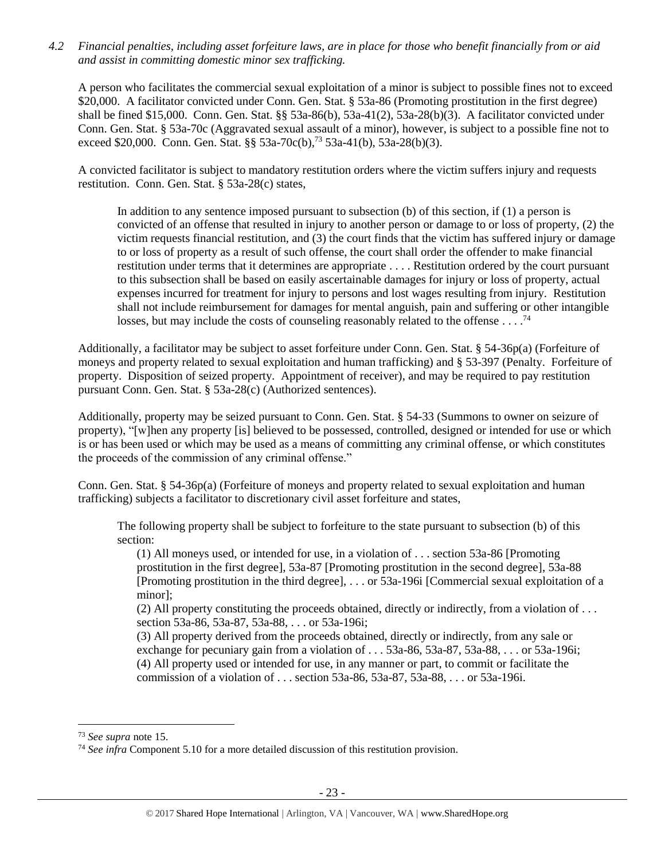*4.2 Financial penalties, including asset forfeiture laws, are in place for those who benefit financially from or aid and assist in committing domestic minor sex trafficking.*

A person who facilitates the commercial sexual exploitation of a minor is subject to possible fines not to exceed \$20,000. A facilitator convicted under Conn. Gen. Stat. § 53a-86 (Promoting prostitution in the first degree) shall be fined \$15,000. Conn. Gen. Stat. §§ 53a-86(b), 53a-41(2), 53a-28(b)(3). A facilitator convicted under Conn. Gen. Stat. § 53a-70c (Aggravated sexual assault of a minor), however, is subject to a possible fine not to exceed \$20,000. Conn. Gen. Stat. §§ 53a-70c(b),<sup>73</sup> 53a-41(b), 53a-28(b)(3).

A convicted facilitator is subject to mandatory restitution orders where the victim suffers injury and requests restitution. Conn. Gen. Stat. § 53a-28(c) states,

In addition to any sentence imposed pursuant to subsection (b) of this section, if (1) a person is convicted of an offense that resulted in injury to another person or damage to or loss of property, (2) the victim requests financial restitution, and (3) the court finds that the victim has suffered injury or damage to or loss of property as a result of such offense, the court shall order the offender to make financial restitution under terms that it determines are appropriate . . . . Restitution ordered by the court pursuant to this subsection shall be based on easily ascertainable damages for injury or loss of property, actual expenses incurred for treatment for injury to persons and lost wages resulting from injury. Restitution shall not include reimbursement for damages for mental anguish, pain and suffering or other intangible losses, but may include the costs of counseling reasonably related to the offense  $\dots$ .<sup>74</sup>

Additionally, a facilitator may be subject to asset forfeiture under Conn. Gen. Stat. § 54-36p(a) (Forfeiture of moneys and property related to sexual exploitation and human trafficking) and § 53-397 (Penalty. Forfeiture of property. Disposition of seized property. Appointment of receiver), and may be required to pay restitution pursuant Conn. Gen. Stat. § 53a-28(c) (Authorized sentences).

Additionally, property may be seized pursuant to Conn. Gen. Stat. § 54-33 (Summons to owner on seizure of property), "[w]hen any property [is] believed to be possessed, controlled, designed or intended for use or which is or has been used or which may be used as a means of committing any criminal offense, or which constitutes the proceeds of the commission of any criminal offense."

Conn. Gen. Stat. § 54-36p(a) (Forfeiture of moneys and property related to sexual exploitation and human trafficking) subjects a facilitator to discretionary civil asset forfeiture and states,

The following property shall be subject to forfeiture to the state pursuant to subsection (b) of this section:

(1) All moneys used, or intended for use, in a violation of . . . section 53a-86 [Promoting prostitution in the first degree], 53a-87 [Promoting prostitution in the second degree], 53a-88 [Promoting prostitution in the third degree], . . . or 53a-196i [Commercial sexual exploitation of a minor];

(2) All property constituting the proceeds obtained, directly or indirectly, from a violation of . . . section 53a-86, 53a-87, 53a-88, . . . or 53a-196i;

(3) All property derived from the proceeds obtained, directly or indirectly, from any sale or exchange for pecuniary gain from a violation of  $\dots$  53a-86, 53a-87, 53a-88,  $\dots$  or 53a-196i; (4) All property used or intended for use, in any manner or part, to commit or facilitate the commission of a violation of . . . section 53a-86, 53a-87, 53a-88, . . . or 53a-196i.

<sup>73</sup> *See supra* note [15.](#page-3-1)

<sup>74</sup> *See infra* Component 5.10 for a more detailed discussion of this restitution provision.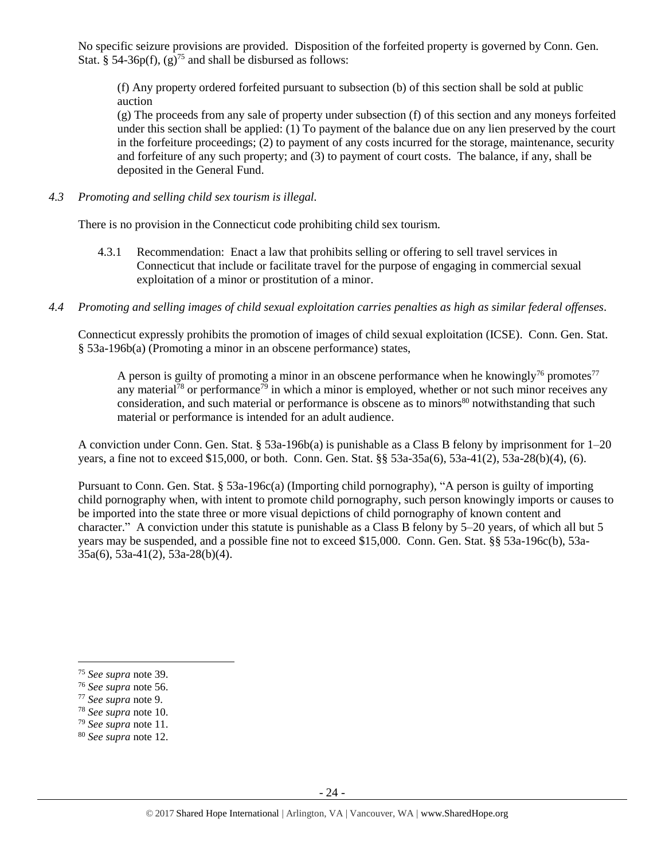No specific seizure provisions are provided. Disposition of the forfeited property is governed by Conn. Gen. Stat. § 54-36p(f),  $(g)^{75}$  and shall be disbursed as follows:

(f) Any property ordered forfeited pursuant to subsection (b) of this section shall be sold at public auction

(g) The proceeds from any sale of property under subsection (f) of this section and any moneys forfeited under this section shall be applied: (1) To payment of the balance due on any lien preserved by the court in the forfeiture proceedings; (2) to payment of any costs incurred for the storage, maintenance, security and forfeiture of any such property; and (3) to payment of court costs. The balance, if any, shall be deposited in the General Fund.

*4.3 Promoting and selling child sex tourism is illegal.*

There is no provision in the Connecticut code prohibiting child sex tourism.

- 4.3.1 Recommendation: Enact a law that prohibits selling or offering to sell travel services in Connecticut that include or facilitate travel for the purpose of engaging in commercial sexual exploitation of a minor or prostitution of a minor.
- *4.4 Promoting and selling images of child sexual exploitation carries penalties as high as similar federal offenses.*

Connecticut expressly prohibits the promotion of images of child sexual exploitation (ICSE). Conn. Gen. Stat. § 53a-196b(a) (Promoting a minor in an obscene performance) states,

A person is guilty of promoting a minor in an obscene performance when he knowingly<sup>76</sup> promotes<sup>77</sup> any material<sup>78</sup> or performance<sup>79</sup> in which a minor is employed, whether or not such minor receives any consideration, and such material or performance is obscene as to minors<sup>80</sup> notwithstanding that such material or performance is intended for an adult audience.

A conviction under Conn. Gen. Stat. § 53a-196b(a) is punishable as a Class B felony by imprisonment for 1–20 years, a fine not to exceed \$15,000, or both. Conn. Gen. Stat. §§ 53a-35a(6), 53a-41(2), 53a-28(b)(4), (6).

Pursuant to Conn. Gen. Stat. § 53a-196c(a) (Importing child pornography), "A person is guilty of importing child pornography when, with intent to promote child pornography, such person knowingly imports or causes to be imported into the state three or more visual depictions of child pornography of known content and character." A conviction under this statute is punishable as a Class B felony by 5–20 years, of which all but 5 years may be suspended, and a possible fine not to exceed \$15,000. Conn. Gen. Stat. §§ 53a-196c(b), 53a-35a(6), 53a-41(2), 53a-28(b)(4).

<sup>75</sup> *See supra* note [39.](#page-12-1)

<sup>76</sup> *See supra* note [56.](#page-16-0) 

<sup>77</sup> *See supra* note [9.](#page-2-1)

<sup>78</sup> *See supra* note [10.](#page-2-2)

<sup>79</sup> *See supra* note [11.](#page-2-3)

<sup>80</sup> *See supra* note [12.](#page-2-4)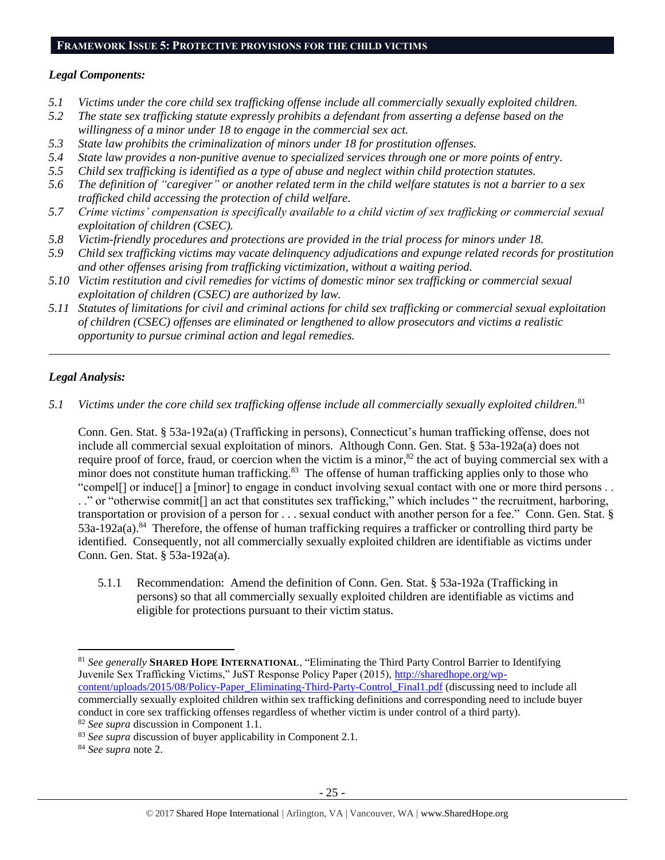### **FRAMEWORK ISSUE 5: PROTECTIVE PROVISIONS FOR THE CHILD VICTIMS**

## *Legal Components:*

- *5.1 Victims under the core child sex trafficking offense include all commercially sexually exploited children.*
- *5.2 The state sex trafficking statute expressly prohibits a defendant from asserting a defense based on the willingness of a minor under 18 to engage in the commercial sex act.*
- *5.3 State law prohibits the criminalization of minors under 18 for prostitution offenses.*
- *5.4 State law provides a non-punitive avenue to specialized services through one or more points of entry.*
- *5.5 Child sex trafficking is identified as a type of abuse and neglect within child protection statutes.*
- *5.6 The definition of "caregiver" or another related term in the child welfare statutes is not a barrier to a sex trafficked child accessing the protection of child welfare.*
- *5.7 Crime victims' compensation is specifically available to a child victim of sex trafficking or commercial sexual exploitation of children (CSEC).*
- *5.8 Victim-friendly procedures and protections are provided in the trial process for minors under 18.*
- *5.9 Child sex trafficking victims may vacate delinquency adjudications and expunge related records for prostitution and other offenses arising from trafficking victimization, without a waiting period.*
- *5.10 Victim restitution and civil remedies for victims of domestic minor sex trafficking or commercial sexual exploitation of children (CSEC) are authorized by law.*
- *5.11 Statutes of limitations for civil and criminal actions for child sex trafficking or commercial sexual exploitation of children (CSEC) offenses are eliminated or lengthened to allow prosecutors and victims a realistic opportunity to pursue criminal action and legal remedies.*

*\_\_\_\_\_\_\_\_\_\_\_\_\_\_\_\_\_\_\_\_\_\_\_\_\_\_\_\_\_\_\_\_\_\_\_\_\_\_\_\_\_\_\_\_\_\_\_\_\_\_\_\_\_\_\_\_\_\_\_\_\_\_\_\_\_\_\_\_\_\_\_\_\_\_\_\_\_\_\_\_\_\_\_\_\_\_\_\_\_\_\_\_\_\_*

# *Legal Analysis:*

5.1 Victims under the core child sex trafficking offense include all commercially sexually exploited children.<sup>81</sup>

Conn. Gen. Stat. § 53a-192a(a) (Trafficking in persons), Connecticut's human trafficking offense, does not include all commercial sexual exploitation of minors. Although Conn. Gen. Stat. § 53a-192a(a) does not require proof of force, fraud, or coercion when the victim is a minor, $82$  the act of buying commercial sex with a minor does not constitute human trafficking.<sup>83</sup> The offense of human trafficking applies only to those who "compel[] or induce[] a [minor] to engage in conduct involving sexual contact with one or more third persons . .

. ." or "otherwise commit[] an act that constitutes sex trafficking," which includes " the recruitment, harboring, transportation or provision of a person for . . . sexual conduct with another person for a fee." Conn. Gen. Stat. §  $53a-192a(a).^{84}$  Therefore, the offense of human trafficking requires a trafficker or controlling third party be identified. Consequently, not all commercially sexually exploited children are identifiable as victims under Conn. Gen. Stat. § 53a-192a(a).

5.1.1 Recommendation: Amend the definition of Conn. Gen. Stat. § 53a-192a (Trafficking in persons) so that all commercially sexually exploited children are identifiable as victims and eligible for protections pursuant to their victim status.

 $\overline{a}$ <sup>81</sup> *See generally* **SHARED HOPE INTERNATIONAL**, "Eliminating the Third Party Control Barrier to Identifying Juvenile Sex Trafficking Victims," JuST Response Policy Paper (2015), [http://sharedhope.org/wp](http://sharedhope.org/wp-content/uploads/2015/08/Policy-Paper_Eliminating-Third-Party-Control_Final1.pdf)[content/uploads/2015/08/Policy-Paper\\_Eliminating-Third-Party-Control\\_Final1.pdf](http://sharedhope.org/wp-content/uploads/2015/08/Policy-Paper_Eliminating-Third-Party-Control_Final1.pdf) (discussing need to include all commercially sexually exploited children within sex trafficking definitions and corresponding need to include buyer conduct in core sex trafficking offenses regardless of whether victim is under control of a third party). <sup>82</sup> *See supra* discussion in Component 1.1.

<sup>&</sup>lt;sup>83</sup> *See supra* discussion of buyer applicability in Component 2.1.

<sup>84</sup> *See supra* note [2.](#page-0-0)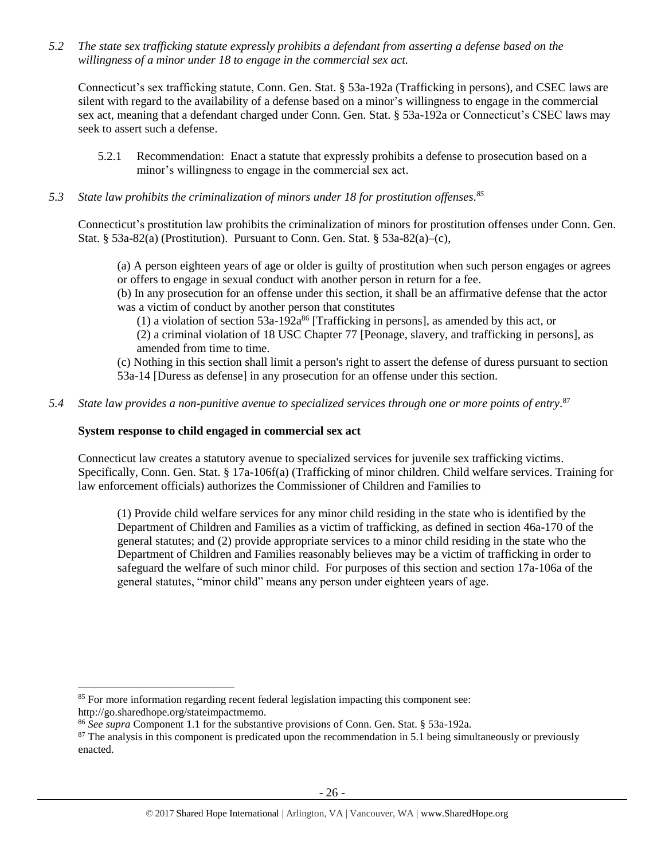*5.2 The state sex trafficking statute expressly prohibits a defendant from asserting a defense based on the willingness of a minor under 18 to engage in the commercial sex act.*

Connecticut's sex trafficking statute, Conn. Gen. Stat. § 53a-192a (Trafficking in persons), and CSEC laws are silent with regard to the availability of a defense based on a minor's willingness to engage in the commercial sex act, meaning that a defendant charged under Conn. Gen. Stat. § 53a-192a or Connecticut's CSEC laws may seek to assert such a defense.

- 5.2.1 Recommendation: Enact a statute that expressly prohibits a defense to prosecution based on a minor's willingness to engage in the commercial sex act.
- *5.3 State law prohibits the criminalization of minors under 18 for prostitution offenses. 85*

Connecticut's prostitution law prohibits the criminalization of minors for prostitution offenses under Conn. Gen. Stat. § 53a-82(a) (Prostitution). Pursuant to Conn. Gen. Stat. § 53a-82(a)–(c),

(a) A person eighteen years of age or older is guilty of prostitution when such person engages or agrees or offers to engage in sexual conduct with another person in return for a fee.

(b) In any prosecution for an offense under this section, it shall be an affirmative defense that the actor was a victim of conduct by another person that constitutes

(1) a violation of section  $53a-192a^{86}$  [Trafficking in persons], as amended by this act, or

(2) a criminal violation of 18 USC Chapter 77 [Peonage, slavery, and trafficking in persons], as amended from time to time.

(c) Nothing in this section shall limit a person's right to assert the defense of duress pursuant to section 53a-14 [Duress as defense] in any prosecution for an offense under this section.

*5.4 State law provides a non-punitive avenue to specialized services through one or more points of entry.* 87

## **System response to child engaged in commercial sex act**

 $\overline{a}$ 

Connecticut law creates a statutory avenue to specialized services for juvenile sex trafficking victims. Specifically, Conn. Gen. Stat. § 17a-106f(a) (Trafficking of minor children. Child welfare services. Training for law enforcement officials) authorizes the Commissioner of Children and Families to

(1) Provide child welfare services for any minor child residing in the state who is identified by the Department of Children and Families as a victim of trafficking, as defined in section 46a-170 of the general statutes; and (2) provide appropriate services to a minor child residing in the state who the Department of Children and Families reasonably believes may be a victim of trafficking in order to safeguard the welfare of such minor child. For purposes of this section and section 17a-106a of the general statutes, "minor child" means any person under eighteen years of age.

<sup>&</sup>lt;sup>85</sup> For more information regarding recent federal legislation impacting this component see: http://go.sharedhope.org/stateimpactmemo.

<sup>86</sup> *See supra* Component 1.1 for the substantive provisions of Conn. Gen. Stat. § 53a-192a.

 $87$  The analysis in this component is predicated upon the recommendation in 5.1 being simultaneously or previously enacted.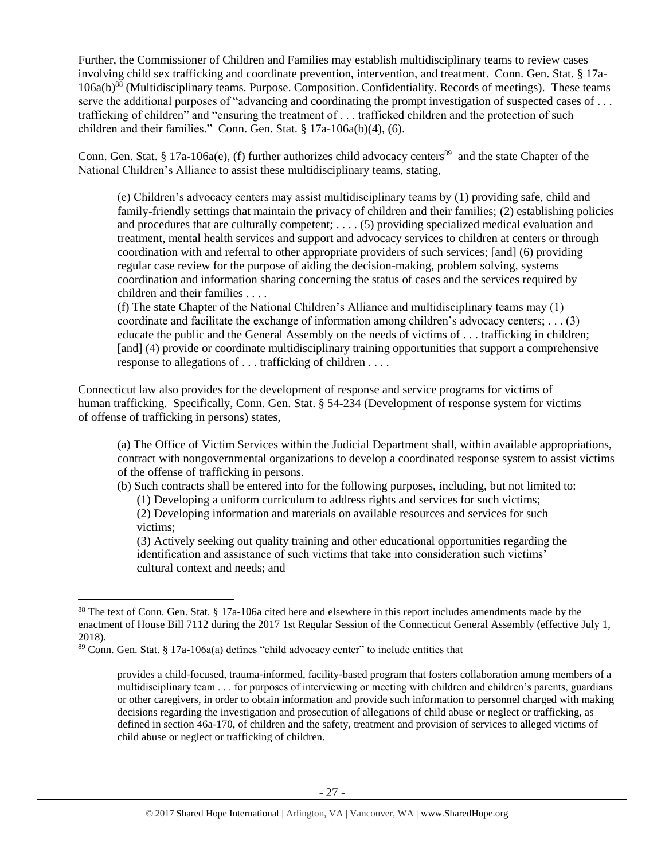<span id="page-26-0"></span>Further, the Commissioner of Children and Families may establish multidisciplinary teams to review cases involving child sex trafficking and coordinate prevention, intervention, and treatment. Conn. Gen. Stat. § 17a-106a(b) <sup>88</sup> (Multidisciplinary teams. Purpose. Composition. Confidentiality. Records of meetings). These teams serve the additional purposes of "advancing and coordinating the prompt investigation of suspected cases of ... trafficking of children" and "ensuring the treatment of . . . trafficked children and the protection of such children and their families." Conn. Gen. Stat. § 17a-106a(b)(4), (6).

Conn. Gen. Stat. § 17a-106a(e), (f) further authorizes child advocacy centers<sup>89</sup> and the state Chapter of the National Children's Alliance to assist these multidisciplinary teams, stating,

(e) Children's advocacy centers may assist multidisciplinary teams by (1) providing safe, child and family-friendly settings that maintain the privacy of children and their families; (2) establishing policies and procedures that are culturally competent; . . . . (5) providing specialized medical evaluation and treatment, mental health services and support and advocacy services to children at centers or through coordination with and referral to other appropriate providers of such services; [and] (6) providing regular case review for the purpose of aiding the decision-making, problem solving, systems coordination and information sharing concerning the status of cases and the services required by children and their families . . . .

(f) The state Chapter of the National Children's Alliance and multidisciplinary teams may (1) coordinate and facilitate the exchange of information among children's advocacy centers; . . . (3) educate the public and the General Assembly on the needs of victims of . . . trafficking in children; [and] (4) provide or coordinate multidisciplinary training opportunities that support a comprehensive response to allegations of . . . trafficking of children . . . .

Connecticut law also provides for the development of response and service programs for victims of human trafficking. Specifically, Conn. Gen. Stat. § 54-234 (Development of response system for victims of offense of trafficking in persons) states,

(a) The Office of Victim Services within the Judicial Department shall, within available appropriations, contract with nongovernmental organizations to develop a coordinated response system to assist victims of the offense of trafficking in persons.

(b) Such contracts shall be entered into for the following purposes, including, but not limited to:

(1) Developing a uniform curriculum to address rights and services for such victims;

(2) Developing information and materials on available resources and services for such victims;

(3) Actively seeking out quality training and other educational opportunities regarding the identification and assistance of such victims that take into consideration such victims' cultural context and needs; and

<sup>88</sup> The text of Conn. Gen. Stat. § 17a-106a cited here and elsewhere in this report includes amendments made by the enactment of House Bill 7112 during the 2017 1st Regular Session of the Connecticut General Assembly (effective July 1, 2018).

<sup>89</sup> Conn. Gen. Stat. § 17a-106a(a) defines "child advocacy center" to include entities that

provides a child-focused, trauma-informed, facility-based program that fosters collaboration among members of a multidisciplinary team . . . for purposes of interviewing or meeting with children and children's parents, guardians or other caregivers, in order to obtain information and provide such information to personnel charged with making decisions regarding the investigation and prosecution of allegations of child abuse or neglect or trafficking, as defined in section 46a-170, of children and the safety, treatment and provision of services to alleged victims of child abuse or neglect or trafficking of children.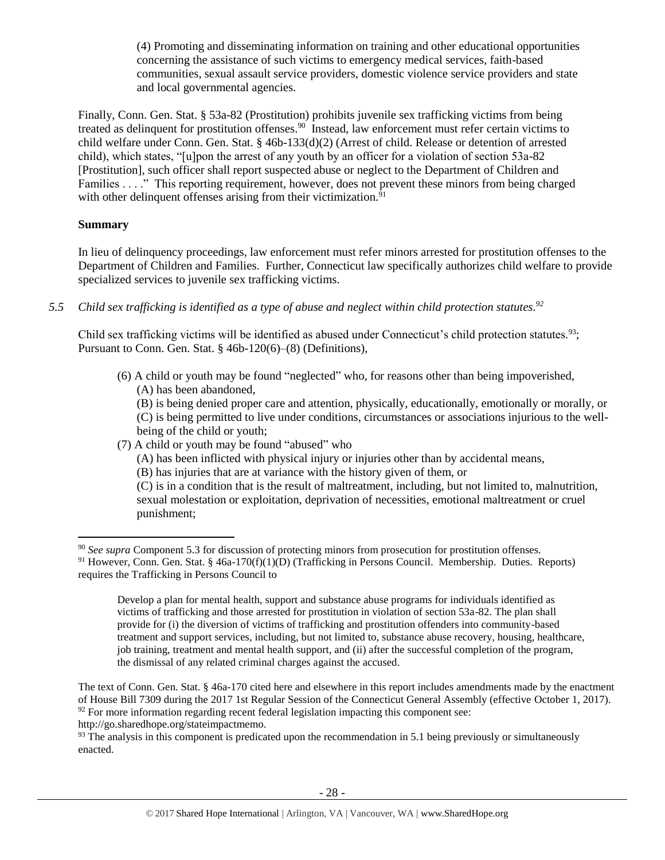(4) Promoting and disseminating information on training and other educational opportunities concerning the assistance of such victims to emergency medical services, faith-based communities, sexual assault service providers, domestic violence service providers and state and local governmental agencies.

Finally, Conn. Gen. Stat. § 53a-82 (Prostitution) prohibits juvenile sex trafficking victims from being treated as delinquent for prostitution offenses.<sup>90</sup> Instead, law enforcement must refer certain victims to child welfare under Conn. Gen. Stat. § 46b-133(d)(2) (Arrest of child. Release or detention of arrested child), which states, "[u]pon the arrest of any youth by an officer for a violation of section 53a-82 [Prostitution], such officer shall report suspected abuse or neglect to the Department of Children and Families . . . ." This reporting requirement, however, does not prevent these minors from being charged with other delinquent offenses arising from their victimization. $91$ 

# **Summary**

 $\overline{a}$ 

In lieu of delinquency proceedings, law enforcement must refer minors arrested for prostitution offenses to the Department of Children and Families. Further, Connecticut law specifically authorizes child welfare to provide specialized services to juvenile sex trafficking victims.

*5.5 Child sex trafficking is identified as a type of abuse and neglect within child protection statutes. 92*

Child sex trafficking victims will be identified as abused under Connecticut's child protection statutes.<sup>93</sup>; Pursuant to Conn. Gen. Stat. § 46b-120(6)–(8) (Definitions),

(6) A child or youth may be found "neglected" who, for reasons other than being impoverished, (A) has been abandoned,

(B) is being denied proper care and attention, physically, educationally, emotionally or morally, or (C) is being permitted to live under conditions, circumstances or associations injurious to the wellbeing of the child or youth;

- (7) A child or youth may be found "abused" who
	- (A) has been inflicted with physical injury or injuries other than by accidental means,

(B) has injuries that are at variance with the history given of them, or

(C) is in a condition that is the result of maltreatment, including, but not limited to, malnutrition, sexual molestation or exploitation, deprivation of necessities, emotional maltreatment or cruel punishment;

Develop a plan for mental health, support and substance abuse programs for individuals identified as victims of trafficking and those arrested for prostitution in violation of section 53a-82. The plan shall provide for (i) the diversion of victims of trafficking and prostitution offenders into community-based treatment and support services, including, but not limited to, substance abuse recovery, housing, healthcare, job training, treatment and mental health support, and (ii) after the successful completion of the program, the dismissal of any related criminal charges against the accused.

The text of Conn. Gen. Stat. § 46a-170 cited here and elsewhere in this report includes amendments made by the enactment of House Bill 7309 during the 2017 1st Regular Session of the Connecticut General Assembly (effective October 1, 2017).  $92$  For more information regarding recent federal legislation impacting this component see:

http://go.sharedhope.org/stateimpactmemo.

 $93$  The analysis in this component is predicated upon the recommendation in 5.1 being previously or simultaneously enacted.

<sup>90</sup> *See supra* Component 5.3 for discussion of protecting minors from prosecution for prostitution offenses.

<sup>&</sup>lt;sup>91</sup> However, Conn. Gen. Stat. § 46a-170(f)(1)(D) (Trafficking in Persons Council. Membership. Duties. Reports) requires the Trafficking in Persons Council to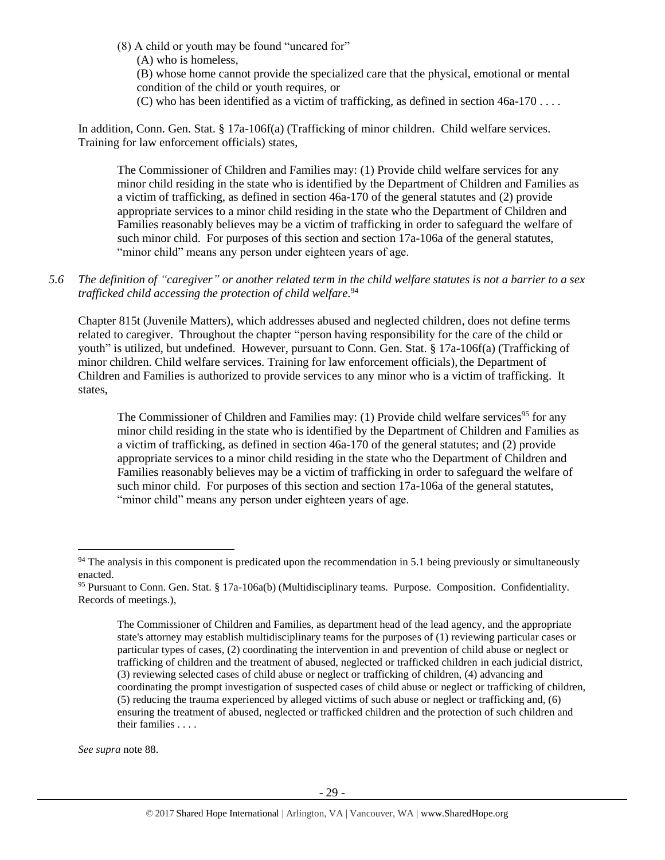(8) A child or youth may be found "uncared for" (A) who is homeless,

(B) whose home cannot provide the specialized care that the physical, emotional or mental condition of the child or youth requires, or

(C) who has been identified as a victim of trafficking, as defined in section 46a-170 . . . .

In addition, Conn. Gen. Stat. § 17a-106f(a) (Trafficking of minor children. Child welfare services. Training for law enforcement officials) states,

The Commissioner of Children and Families may: (1) Provide child welfare services for any minor child residing in the state who is identified by the Department of Children and Families as a victim of trafficking, as defined in section 46a-170 of the general statutes and (2) provide appropriate services to a minor child residing in the state who the Department of Children and Families reasonably believes may be a victim of trafficking in order to safeguard the welfare of such minor child. For purposes of this section and section 17a-106a of the general statutes, "minor child" means any person under eighteen years of age.

*5.6 The definition of "caregiver" or another related term in the child welfare statutes is not a barrier to a sex trafficked child accessing the protection of child welfare.* 94

Chapter 815t (Juvenile Matters), which addresses abused and neglected children, does not define terms related to caregiver. Throughout the chapter "person having responsibility for the care of the child or youth" is utilized, but undefined. However, pursuant to Conn. Gen. Stat. § 17a-106f(a) (Trafficking of minor children. Child welfare services. Training for law enforcement officials), the Department of Children and Families is authorized to provide services to any minor who is a victim of trafficking. It states,

The Commissioner of Children and Families may: (1) Provide child welfare services<sup>95</sup> for any minor child residing in the state who is identified by the Department of Children and Families as a victim of trafficking, as defined in section 46a-170 of the general statutes; and (2) provide appropriate services to a minor child residing in the state who the Department of Children and Families reasonably believes may be a victim of trafficking in order to safeguard the welfare of such minor child. For purposes of this section and section 17a-106a of the general statutes, "minor child" means any person under eighteen years of age.

*See supra* note [88.](#page-26-0)

 $94$  The analysis in this component is predicated upon the recommendation in 5.1 being previously or simultaneously enacted.

<sup>95</sup> Pursuant to Conn. Gen. Stat. § 17a-106a(b) (Multidisciplinary teams. Purpose. Composition. Confidentiality. Records of meetings.),

The Commissioner of Children and Families, as department head of the lead agency, and the appropriate state's attorney may establish multidisciplinary teams for the purposes of (1) reviewing particular cases or particular types of cases, (2) coordinating the intervention in and prevention of child abuse or neglect or trafficking of children and the treatment of abused, neglected or trafficked children in each judicial district, (3) reviewing selected cases of child abuse or neglect or trafficking of children, (4) advancing and coordinating the prompt investigation of suspected cases of child abuse or neglect or trafficking of children, (5) reducing the trauma experienced by alleged victims of such abuse or neglect or trafficking and, (6) ensuring the treatment of abused, neglected or trafficked children and the protection of such children and their families . . . .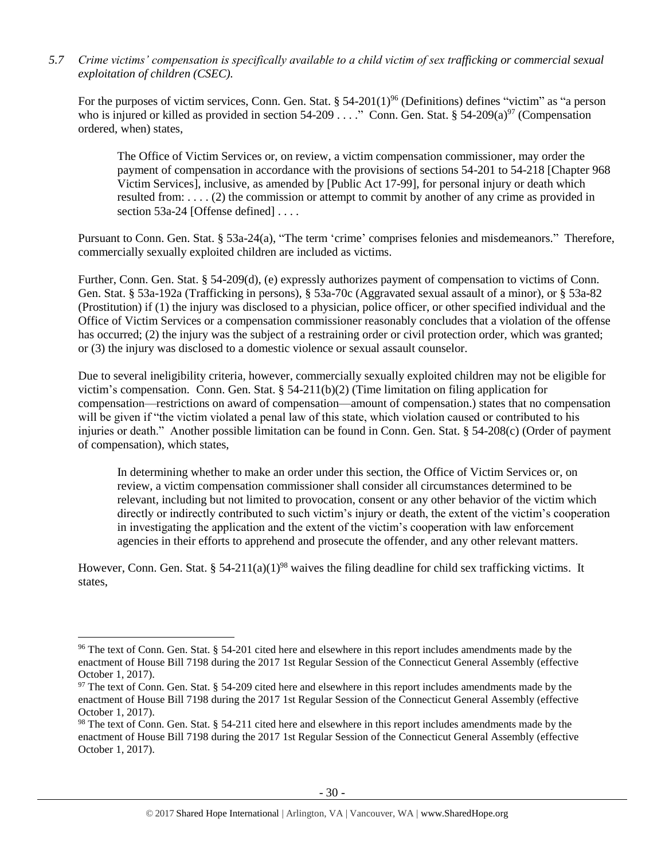# *5.7 Crime victims' compensation is specifically available to a child victim of sex trafficking or commercial sexual exploitation of children (CSEC).*

For the purposes of victim services, Conn. Gen. Stat.  $\S 54-201(1)^{96}$  (Definitions) defines "victim" as "a person who is injured or killed as provided in section  $54-209$  . . . ." Conn. Gen. Stat. §  $54-209(a)^{97}$  (Compensation ordered, when) states,

The Office of Victim Services or, on review, a victim compensation commissioner, may order the payment of compensation in accordance with the provisions of sections 54-201 to 54-218 [Chapter 968 Victim Services], inclusive, as amended by [Public Act 17-99], for personal injury or death which resulted from: . . . . (2) the commission or attempt to commit by another of any crime as provided in section 53a-24 [Offense defined] ....

Pursuant to Conn. Gen. Stat. § 53a-24(a), "The term 'crime' comprises felonies and misdemeanors." Therefore, commercially sexually exploited children are included as victims.

Further, Conn. Gen. Stat. § 54-209(d), (e) expressly authorizes payment of compensation to victims of Conn. Gen. Stat. § 53a-192a (Trafficking in persons), § 53a-70c (Aggravated sexual assault of a minor), or § 53a-82 (Prostitution) if (1) the injury was disclosed to a physician, police officer, or other specified individual and the Office of Victim Services or a compensation commissioner reasonably concludes that a violation of the offense has occurred; (2) the injury was the subject of a restraining order or civil protection order, which was granted; or (3) the injury was disclosed to a domestic violence or sexual assault counselor.

Due to several ineligibility criteria, however, commercially sexually exploited children may not be eligible for victim's compensation. Conn. Gen. Stat.  $\S 54-211(b)(2)$  (Time limitation on filing application for compensation—restrictions on award of compensation—amount of compensation.) states that no compensation will be given if "the victim violated a penal law of this state, which violation caused or contributed to his injuries or death." Another possible limitation can be found in Conn. Gen. Stat. § 54-208(c) (Order of payment of compensation), which states,

In determining whether to make an order under this section, the Office of Victim Services or, on review, a victim compensation commissioner shall consider all circumstances determined to be relevant, including but not limited to provocation, consent or any other behavior of the victim which directly or indirectly contributed to such victim's injury or death, the extent of the victim's cooperation in investigating the application and the extent of the victim's cooperation with law enforcement agencies in their efforts to apprehend and prosecute the offender, and any other relevant matters.

However, Conn. Gen. Stat. § 54-211(a)(1)<sup>98</sup> waives the filing deadline for child sex trafficking victims. It states,

<sup>&</sup>lt;sup>96</sup> The text of Conn. Gen. Stat. § 54-201 cited here and elsewhere in this report includes amendments made by the enactment of House Bill 7198 during the 2017 1st Regular Session of the Connecticut General Assembly (effective October 1, 2017).

 $97$  The text of Conn. Gen. Stat. § 54-209 cited here and elsewhere in this report includes amendments made by the enactment of House Bill 7198 during the 2017 1st Regular Session of the Connecticut General Assembly (effective October 1, 2017).

<sup>98</sup> The text of Conn. Gen. Stat. § 54-211 cited here and elsewhere in this report includes amendments made by the enactment of House Bill 7198 during the 2017 1st Regular Session of the Connecticut General Assembly (effective October 1, 2017).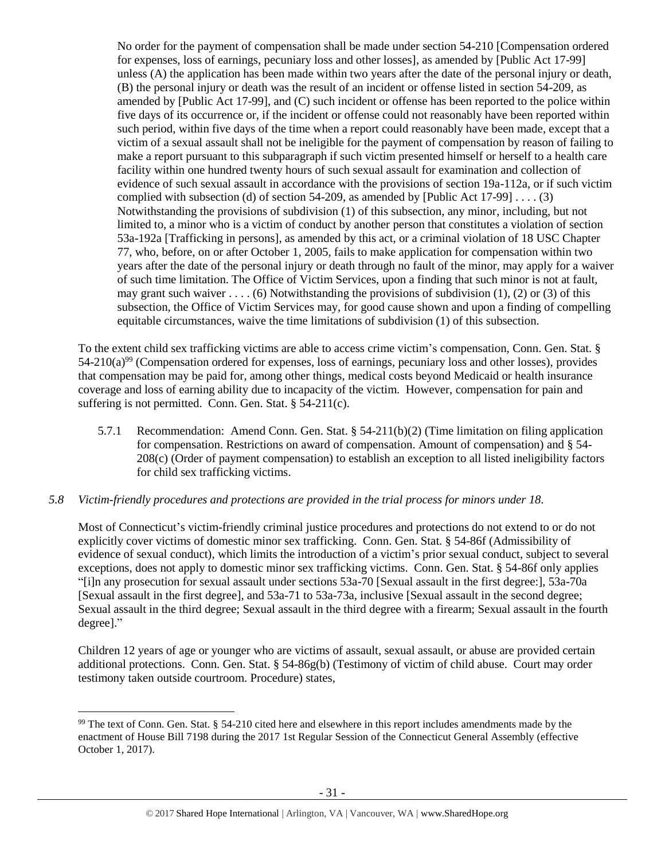No order for the payment of compensation shall be made under section 54-210 [Compensation ordered for expenses, loss of earnings, pecuniary loss and other losses], as amended by [Public Act 17-99] unless (A) the application has been made within two years after the date of the personal injury or death, (B) the personal injury or death was the result of an incident or offense listed in section 54-209, as amended by [Public Act 17-99], and (C) such incident or offense has been reported to the police within five days of its occurrence or, if the incident or offense could not reasonably have been reported within such period, within five days of the time when a report could reasonably have been made, except that a victim of a sexual assault shall not be ineligible for the payment of compensation by reason of failing to make a report pursuant to this subparagraph if such victim presented himself or herself to a health care facility within one hundred twenty hours of such sexual assault for examination and collection of evidence of such sexual assault in accordance with the provisions of section 19a-112a, or if such victim complied with subsection (d) of section 54-209, as amended by [Public Act 17-99]  $\dots$  (3) Notwithstanding the provisions of subdivision (1) of this subsection, any minor, including, but not limited to, a minor who is a victim of conduct by another person that constitutes a violation of section 53a-192a [Trafficking in persons], as amended by this act, or a criminal violation of 18 USC Chapter 77, who, before, on or after October 1, 2005, fails to make application for compensation within two years after the date of the personal injury or death through no fault of the minor, may apply for a waiver of such time limitation. The Office of Victim Services, upon a finding that such minor is not at fault, may grant such waiver . . . . (6) Notwithstanding the provisions of subdivision (1), (2) or (3) of this subsection, the Office of Victim Services may, for good cause shown and upon a finding of compelling equitable circumstances, waive the time limitations of subdivision (1) of this subsection.

To the extent child sex trafficking victims are able to access crime victim's compensation, Conn. Gen. Stat. §  $54-210(a)^{99}$  (Compensation ordered for expenses, loss of earnings, pecuniary loss and other losses), provides that compensation may be paid for, among other things, medical costs beyond Medicaid or health insurance coverage and loss of earning ability due to incapacity of the victim. However, compensation for pain and suffering is not permitted. Conn. Gen. Stat. § 54-211(c).

- 5.7.1 Recommendation: Amend Conn. Gen. Stat. § 54-211(b)(2) (Time limitation on filing application for compensation. Restrictions on award of compensation. Amount of compensation) and § 54- 208(c) (Order of payment compensation) to establish an exception to all listed ineligibility factors for child sex trafficking victims.
- *5.8 Victim-friendly procedures and protections are provided in the trial process for minors under 18.*

Most of Connecticut's victim-friendly criminal justice procedures and protections do not extend to or do not explicitly cover victims of domestic minor sex trafficking. Conn. Gen. Stat. § 54-86f (Admissibility of evidence of sexual conduct), which limits the introduction of a victim's prior sexual conduct, subject to several exceptions, does not apply to domestic minor sex trafficking victims. Conn. Gen. Stat. § 54-86f only applies "[i]n any prosecution for sexual assault under sections 53a-70 [Sexual assault in the first degree:], 53a-70a [Sexual assault in the first degree], and 53a-71 to 53a-73a, inclusive [Sexual assault in the second degree; Sexual assault in the third degree; Sexual assault in the third degree with a firearm; Sexual assault in the fourth degree]."

Children 12 years of age or younger who are victims of assault, sexual assault, or abuse are provided certain additional protections. Conn. Gen. Stat. § 54-86g(b) (Testimony of victim of child abuse. Court may order testimony taken outside courtroom. Procedure) states,

<sup>&</sup>lt;sup>99</sup> The text of Conn. Gen. Stat. § 54-210 cited here and elsewhere in this report includes amendments made by the enactment of House Bill 7198 during the 2017 1st Regular Session of the Connecticut General Assembly (effective October 1, 2017).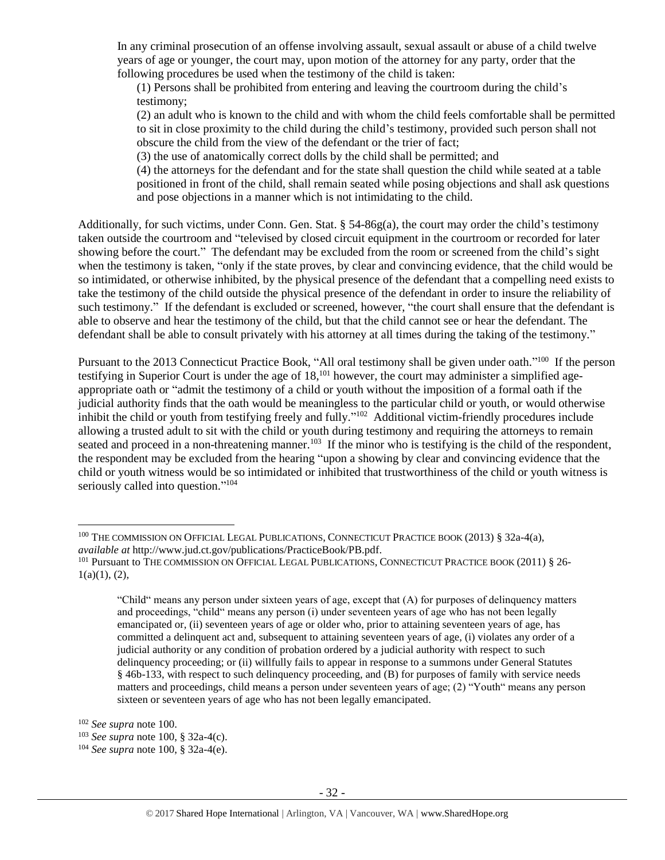In any criminal prosecution of an offense involving assault, sexual assault or abuse of a child twelve years of age or younger, the court may, upon motion of the attorney for any party, order that the following procedures be used when the testimony of the child is taken:

(1) Persons shall be prohibited from entering and leaving the courtroom during the child's testimony;

(2) an adult who is known to the child and with whom the child feels comfortable shall be permitted to sit in close proximity to the child during the child's testimony, provided such person shall not obscure the child from the view of the defendant or the trier of fact;

(3) the use of anatomically correct dolls by the child shall be permitted; and

<span id="page-31-1"></span><span id="page-31-0"></span>(4) the attorneys for the defendant and for the state shall question the child while seated at a table positioned in front of the child, shall remain seated while posing objections and shall ask questions and pose objections in a manner which is not intimidating to the child.

Additionally, for such victims, under Conn. Gen. Stat. § 54-86g(a), the court may order the child's testimony taken outside the courtroom and "televised by closed circuit equipment in the courtroom or recorded for later showing before the court." The defendant may be excluded from the room or screened from the child's sight when the testimony is taken, "only if the state proves, by clear and convincing evidence, that the child would be so intimidated, or otherwise inhibited, by the physical presence of the defendant that a compelling need exists to take the testimony of the child outside the physical presence of the defendant in order to insure the reliability of such testimony." If the defendant is excluded or screened, however, "the court shall ensure that the defendant is able to observe and hear the testimony of the child, but that the child cannot see or hear the defendant. The defendant shall be able to consult privately with his attorney at all times during the taking of the testimony."

Pursuant to the 2013 Connecticut Practice Book, "All oral testimony shall be given under oath."<sup>100</sup> If the person testifying in Superior Court is under the age of 18,<sup>101</sup> however, the court may administer a simplified ageappropriate oath or "admit the testimony of a child or youth without the imposition of a formal oath if the judicial authority finds that the oath would be meaningless to the particular child or youth, or would otherwise inhibit the child or youth from testifying freely and fully."<sup>102</sup> Additional victim-friendly procedures include allowing a trusted adult to sit with the child or youth during testimony and requiring the attorneys to remain seated and proceed in a non-threatening manner.<sup>103</sup> If the minor who is testifying is the child of the respondent, the respondent may be excluded from the hearing "upon a showing by clear and convincing evidence that the child or youth witness would be so intimidated or inhibited that trustworthiness of the child or youth witness is seriously called into question."<sup>104</sup>

<sup>100</sup> THE COMMISSION ON OFFICIAL LEGAL PUBLICATIONS, CONNECTICUT PRACTICE BOOK (2013) § 32a-4(a), *available at* http://www.jud.ct.gov/publications/PracticeBook/PB.pdf.

<sup>101</sup> Pursuant to THE COMMISSION ON OFFICIAL LEGAL PUBLICATIONS, CONNECTICUT PRACTICE BOOK (2011) § 26-  $1(a)(1), (2),$ 

<sup>&</sup>quot;Child" means any person under sixteen years of age, except that (A) for purposes of delinquency matters and proceedings, "child" means any person (i) under seventeen years of age who has not been legally emancipated or, (ii) seventeen years of age or older who, prior to attaining seventeen years of age, has committed a delinquent act and, subsequent to attaining seventeen years of age, (i) violates any order of a judicial authority or any condition of probation ordered by a judicial authority with respect to such delinquency proceeding; or (ii) willfully fails to appear in response to a summons under General Statutes § 46b-133, with respect to such delinquency proceeding, and (B) for purposes of family with service needs matters and proceedings, child means a person under seventeen years of age; (2) "Youth" means any person sixteen or seventeen years of age who has not been legally emancipated.

<sup>102</sup> *See supra* not[e 100.](#page-31-0)

<sup>103</sup> *See supra* note [100,](#page-31-1) § 32a-4(c).

<sup>104</sup> *See supra* note [100,](#page-31-1) § 32a-4(e).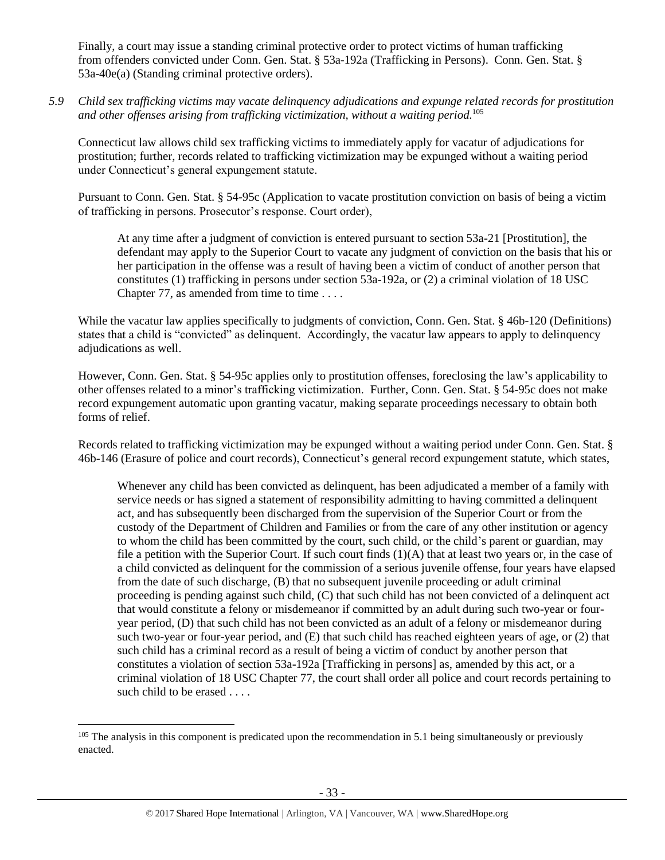Finally, a court may issue a standing criminal protective order to protect victims of human trafficking from offenders convicted under Conn. Gen. Stat. § 53a-192a (Trafficking in Persons). Conn. Gen. Stat. § 53a-40e(a) (Standing criminal protective orders).

*5.9 Child sex trafficking victims may vacate delinquency adjudications and expunge related records for prostitution and other offenses arising from trafficking victimization, without a waiting period.* 105

Connecticut law allows child sex trafficking victims to immediately apply for vacatur of adjudications for prostitution; further, records related to trafficking victimization may be expunged without a waiting period under Connecticut's general expungement statute.

Pursuant to Conn. Gen. Stat. § 54-95c (Application to vacate prostitution conviction on basis of being a victim of trafficking in persons. Prosecutor's response. Court order),

At any time after a judgment of conviction is entered pursuant to section 53a-21 [Prostitution], the defendant may apply to the Superior Court to vacate any judgment of conviction on the basis that his or her participation in the offense was a result of having been a victim of conduct of another person that constitutes (1) trafficking in persons under section 53a-192a, or (2) a criminal violation of 18 USC Chapter 77, as amended from time to time  $\dots$ .

While the vacatur law applies specifically to judgments of conviction, Conn. Gen. Stat. § 46b-120 (Definitions) states that a child is "convicted" as delinquent. Accordingly, the vacatur law appears to apply to delinquency adjudications as well.

However, Conn. Gen. Stat. § 54-95c applies only to prostitution offenses, foreclosing the law's applicability to other offenses related to a minor's trafficking victimization. Further, Conn. Gen. Stat. § 54-95c does not make record expungement automatic upon granting vacatur, making separate proceedings necessary to obtain both forms of relief.

Records related to trafficking victimization may be expunged without a waiting period under Conn. Gen. Stat. § 46b-146 (Erasure of police and court records), Connecticut's general record expungement statute, which states,

Whenever any child has been convicted as delinquent, has been adjudicated a member of a family with service needs or has signed a statement of responsibility admitting to having committed a delinquent act, and has subsequently been discharged from the supervision of the Superior Court or from the custody of the Department of Children and Families or from the care of any other institution or agency to whom the child has been committed by the court, such child, or the child's parent or guardian, may file a petition with the Superior Court. If such court finds (1)(A) that at least two years or, in the case of a child convicted as delinquent for the commission of a serious juvenile offense, four years have elapsed from the date of such discharge, (B) that no subsequent juvenile proceeding or adult criminal proceeding is pending against such child, (C) that such child has not been convicted of a delinquent act that would constitute a felony or misdemeanor if committed by an adult during such two-year or fouryear period, (D) that such child has not been convicted as an adult of a felony or misdemeanor during such two-year or four-year period, and (E) that such child has reached eighteen years of age, or (2) that such child has a criminal record as a result of being a victim of conduct by another person that constitutes a violation of section 53a-192a [Trafficking in persons] as, amended by this act, or a criminal violation of 18 USC Chapter 77, the court shall order all police and court records pertaining to such child to be erased . . . .

 $105$  The analysis in this component is predicated upon the recommendation in 5.1 being simultaneously or previously enacted.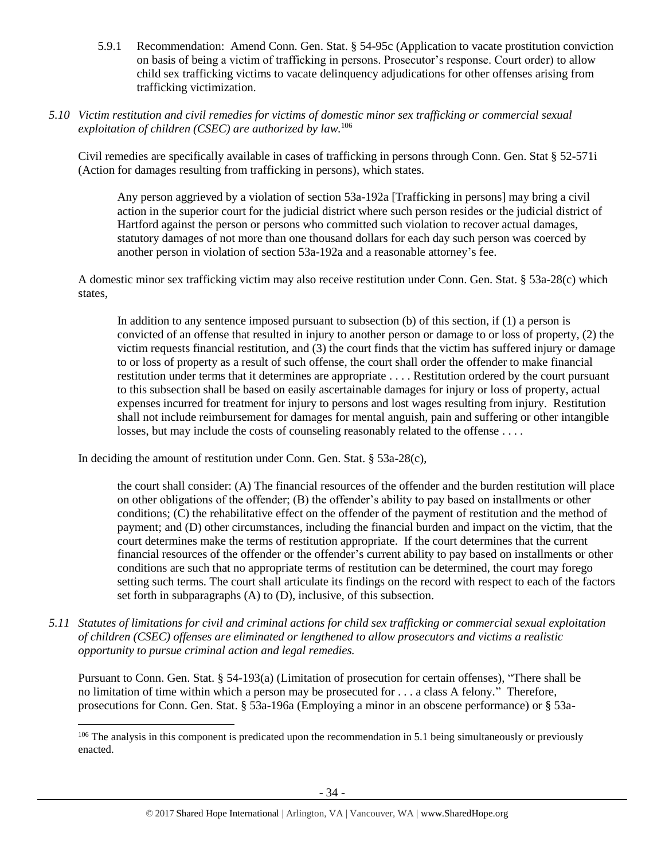- 5.9.1 Recommendation: Amend Conn. Gen. Stat. § 54-95c (Application to vacate prostitution conviction on basis of being a victim of trafficking in persons. Prosecutor's response. Court order) to allow child sex trafficking victims to vacate delinquency adjudications for other offenses arising from trafficking victimization.
- *5.10 Victim restitution and civil remedies for victims of domestic minor sex trafficking or commercial sexual exploitation of children (CSEC) are authorized by law.*<sup>106</sup>

Civil remedies are specifically available in cases of trafficking in persons through Conn. Gen. Stat § 52-571i (Action for damages resulting from trafficking in persons), which states.

Any person aggrieved by a violation of section 53a-192a [Trafficking in persons] may bring a civil action in the superior court for the judicial district where such person resides or the judicial district of Hartford against the person or persons who committed such violation to recover actual damages, statutory damages of not more than one thousand dollars for each day such person was coerced by another person in violation of section 53a-192a and a reasonable attorney's fee.

A domestic minor sex trafficking victim may also receive restitution under Conn. Gen. Stat. § 53a-28(c) which states,

In addition to any sentence imposed pursuant to subsection (b) of this section, if (1) a person is convicted of an offense that resulted in injury to another person or damage to or loss of property, (2) the victim requests financial restitution, and (3) the court finds that the victim has suffered injury or damage to or loss of property as a result of such offense, the court shall order the offender to make financial restitution under terms that it determines are appropriate . . . . Restitution ordered by the court pursuant to this subsection shall be based on easily ascertainable damages for injury or loss of property, actual expenses incurred for treatment for injury to persons and lost wages resulting from injury. Restitution shall not include reimbursement for damages for mental anguish, pain and suffering or other intangible losses, but may include the costs of counseling reasonably related to the offense ....

In deciding the amount of restitution under Conn. Gen. Stat. § 53a-28(c),

 $\overline{a}$ 

the court shall consider: (A) The financial resources of the offender and the burden restitution will place on other obligations of the offender; (B) the offender's ability to pay based on installments or other conditions; (C) the rehabilitative effect on the offender of the payment of restitution and the method of payment; and (D) other circumstances, including the financial burden and impact on the victim, that the court determines make the terms of restitution appropriate. If the court determines that the current financial resources of the offender or the offender's current ability to pay based on installments or other conditions are such that no appropriate terms of restitution can be determined, the court may forego setting such terms. The court shall articulate its findings on the record with respect to each of the factors set forth in subparagraphs (A) to (D), inclusive, of this subsection.

*5.11 Statutes of limitations for civil and criminal actions for child sex trafficking or commercial sexual exploitation of children (CSEC) offenses are eliminated or lengthened to allow prosecutors and victims a realistic opportunity to pursue criminal action and legal remedies.*

Pursuant to Conn. Gen. Stat. § 54-193(a) (Limitation of prosecution for certain offenses), "There shall be no limitation of time within which a person may be prosecuted for . . . a class A felony." Therefore, prosecutions for Conn. Gen. Stat. § 53a-196a (Employing a minor in an obscene performance) or § 53a-

 $106$  The analysis in this component is predicated upon the recommendation in 5.1 being simultaneously or previously enacted.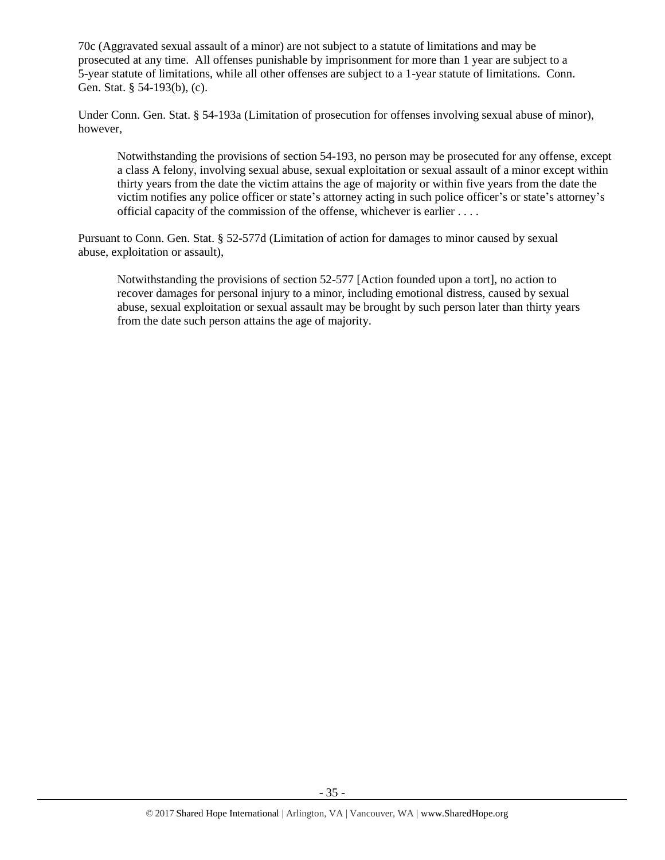70c (Aggravated sexual assault of a minor) are not subject to a statute of limitations and may be prosecuted at any time. All offenses punishable by imprisonment for more than 1 year are subject to a 5-year statute of limitations, while all other offenses are subject to a 1-year statute of limitations. Conn. Gen. Stat. § 54-193(b), (c).

Under Conn. Gen. Stat. § 54-193a (Limitation of prosecution for offenses involving sexual abuse of minor), however,

Notwithstanding the provisions of section 54-193, no person may be prosecuted for any offense, except a class A felony, involving sexual abuse, sexual exploitation or sexual assault of a minor except within thirty years from the date the victim attains the age of majority or within five years from the date the victim notifies any police officer or state's attorney acting in such police officer's or state's attorney's official capacity of the commission of the offense, whichever is earlier . . . .

Pursuant to Conn. Gen. Stat. § 52-577d (Limitation of action for damages to minor caused by sexual abuse, exploitation or assault),

Notwithstanding the provisions of section 52-577 [Action founded upon a tort], no action to recover damages for personal injury to a minor, including emotional distress, caused by sexual abuse, sexual exploitation or sexual assault may be brought by such person later than thirty years from the date such person attains the age of majority.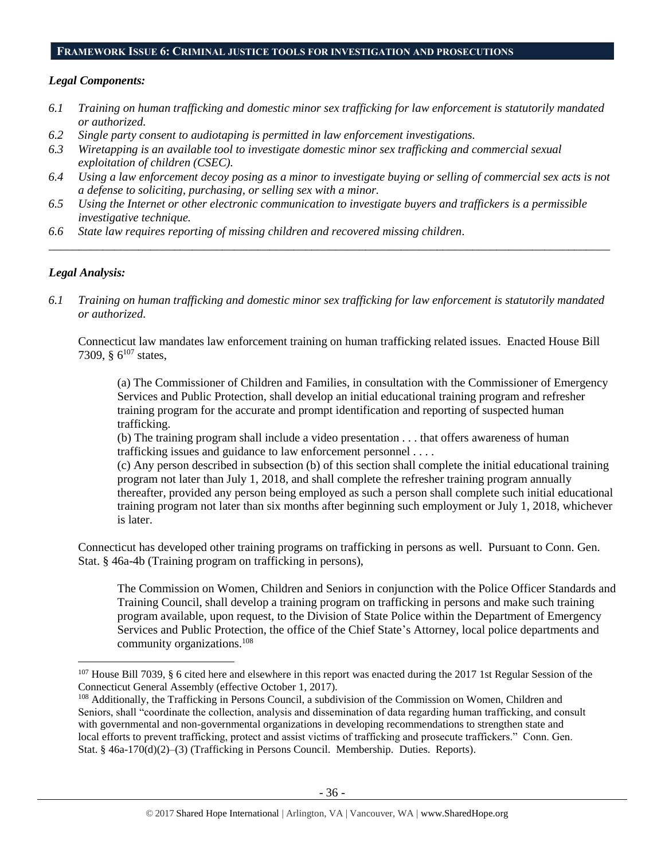#### **FRAMEWORK ISSUE 6: CRIMINAL JUSTICE TOOLS FOR INVESTIGATION AND PROSECUTIONS**

## *Legal Components:*

- *6.1 Training on human trafficking and domestic minor sex trafficking for law enforcement is statutorily mandated or authorized.*
- *6.2 Single party consent to audiotaping is permitted in law enforcement investigations.*
- *6.3 Wiretapping is an available tool to investigate domestic minor sex trafficking and commercial sexual exploitation of children (CSEC).*
- *6.4 Using a law enforcement decoy posing as a minor to investigate buying or selling of commercial sex acts is not a defense to soliciting, purchasing, or selling sex with a minor.*

*\_\_\_\_\_\_\_\_\_\_\_\_\_\_\_\_\_\_\_\_\_\_\_\_\_\_\_\_\_\_\_\_\_\_\_\_\_\_\_\_\_\_\_\_\_\_\_\_\_\_\_\_\_\_\_\_\_\_\_\_\_\_\_\_\_\_\_\_\_\_\_\_\_\_\_\_\_\_\_\_\_\_\_\_\_\_\_\_\_\_\_\_\_\_*

- *6.5 Using the Internet or other electronic communication to investigate buyers and traffickers is a permissible investigative technique.*
- *6.6 State law requires reporting of missing children and recovered missing children.*

# *Legal Analysis:*

 $\overline{a}$ 

*6.1 Training on human trafficking and domestic minor sex trafficking for law enforcement is statutorily mandated or authorized.*

Connecticut law mandates law enforcement training on human trafficking related issues. Enacted House Bill 7309, §  $6^{107}$  states,

(a) The Commissioner of Children and Families, in consultation with the Commissioner of Emergency Services and Public Protection, shall develop an initial educational training program and refresher training program for the accurate and prompt identification and reporting of suspected human trafficking.

(b) The training program shall include a video presentation . . . that offers awareness of human trafficking issues and guidance to law enforcement personnel . . . .

(c) Any person described in subsection (b) of this section shall complete the initial educational training program not later than July 1, 2018, and shall complete the refresher training program annually thereafter, provided any person being employed as such a person shall complete such initial educational training program not later than six months after beginning such employment or July 1, 2018, whichever is later.

Connecticut has developed other training programs on trafficking in persons as well. Pursuant to Conn. Gen. Stat. § 46a-4b (Training program on trafficking in persons),

The Commission on Women, Children and Seniors in conjunction with the Police Officer Standards and Training Council, shall develop a training program on trafficking in persons and make such training program available, upon request, to the Division of State Police within the Department of Emergency Services and Public Protection, the office of the Chief State's Attorney, local police departments and community organizations.<sup>108</sup>

 $107$  House Bill 7039, § 6 cited here and elsewhere in this report was enacted during the 2017 1st Regular Session of the Connecticut General Assembly (effective October 1, 2017).

<sup>&</sup>lt;sup>108</sup> Additionally, the Trafficking in Persons Council, a subdivision of the Commission on Women, Children and Seniors, shall "coordinate the collection, analysis and dissemination of data regarding human trafficking, and consult with governmental and non-governmental organizations in developing recommendations to strengthen state and local efforts to prevent trafficking, protect and assist victims of trafficking and prosecute traffickers." Conn. Gen. Stat. § 46a-170(d)(2)–(3) (Trafficking in Persons Council. Membership. Duties. Reports).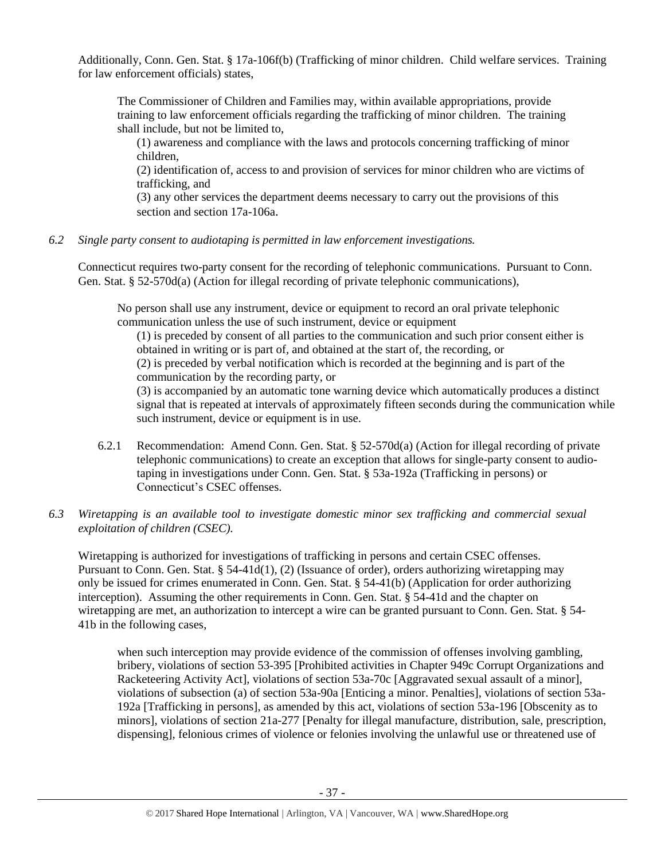Additionally, Conn. Gen. Stat. § 17a-106f(b) (Trafficking of minor children. Child welfare services. Training for law enforcement officials) states,

The Commissioner of Children and Families may, within available appropriations, provide training to law enforcement officials regarding the trafficking of minor children. The training shall include, but not be limited to,

(1) awareness and compliance with the laws and protocols concerning trafficking of minor children,

(2) identification of, access to and provision of services for minor children who are victims of trafficking, and

(3) any other services the department deems necessary to carry out the provisions of this section and section 17a-106a.

*6.2 Single party consent to audiotaping is permitted in law enforcement investigations.*

Connecticut requires two-party consent for the recording of telephonic communications. Pursuant to Conn. Gen. Stat. § 52-570d(a) (Action for illegal recording of private telephonic communications),

No person shall use any instrument, device or equipment to record an oral private telephonic communication unless the use of such instrument, device or equipment

(1) is preceded by consent of all parties to the communication and such prior consent either is obtained in writing or is part of, and obtained at the start of, the recording, or (2) is preceded by verbal notification which is recorded at the beginning and is part of the communication by the recording party, or

(3) is accompanied by an automatic tone warning device which automatically produces a distinct signal that is repeated at intervals of approximately fifteen seconds during the communication while such instrument, device or equipment is in use.

- 6.2.1 Recommendation: Amend Conn. Gen. Stat. § 52-570d(a) (Action for illegal recording of private telephonic communications) to create an exception that allows for single-party consent to audiotaping in investigations under Conn. Gen. Stat. § 53a-192a (Trafficking in persons) or Connecticut's CSEC offenses.
- *6.3 Wiretapping is an available tool to investigate domestic minor sex trafficking and commercial sexual exploitation of children (CSEC).*

Wiretapping is authorized for investigations of trafficking in persons and certain CSEC offenses. Pursuant to Conn. Gen. Stat. § 54-41d(1), (2) (Issuance of order), orders authorizing wiretapping may only be issued for crimes enumerated in Conn. Gen. Stat. § 54-41(b) (Application for order authorizing interception). Assuming the other requirements in Conn. Gen. Stat. § 54-41d and the chapter on wiretapping are met, an authorization to intercept a wire can be granted pursuant to Conn. Gen. Stat. § 54- 41b in the following cases,

when such interception may provide evidence of the commission of offenses involving gambling, bribery, violations of section 53-395 [Prohibited activities in Chapter 949c Corrupt Organizations and Racketeering Activity Act], violations of section 53a-70c [Aggravated sexual assault of a minor], violations of subsection (a) of section 53a-90a [Enticing a minor. Penalties], violations of section 53a-192a [Trafficking in persons], as amended by this act, violations of section 53a-196 [Obscenity as to minors], violations of section 21a-277 [Penalty for illegal manufacture, distribution, sale, prescription, dispensing], felonious crimes of violence or felonies involving the unlawful use or threatened use of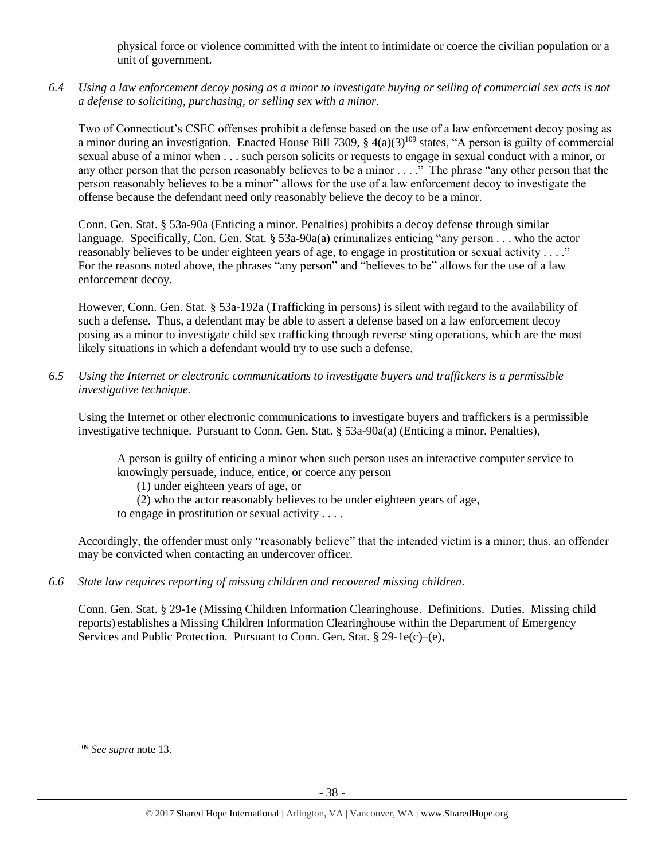physical force or violence committed with the intent to intimidate or coerce the civilian population or a unit of government.

*6.4 Using a law enforcement decoy posing as a minor to investigate buying or selling of commercial sex acts is not a defense to soliciting, purchasing, or selling sex with a minor.*

Two of Connecticut's CSEC offenses prohibit a defense based on the use of a law enforcement decoy posing as a minor during an investigation. Enacted House Bill 7309,  $\S$  4(a)(3)<sup>109</sup> states, "A person is guilty of commercial sexual abuse of a minor when . . . such person solicits or requests to engage in sexual conduct with a minor, or any other person that the person reasonably believes to be a minor . . . ." The phrase "any other person that the person reasonably believes to be a minor" allows for the use of a law enforcement decoy to investigate the offense because the defendant need only reasonably believe the decoy to be a minor.

Conn. Gen. Stat. § 53a-90a (Enticing a minor. Penalties) prohibits a decoy defense through similar language. Specifically, Con. Gen. Stat. § 53a-90a(a) criminalizes enticing "any person . . . who the actor reasonably believes to be under eighteen years of age, to engage in prostitution or sexual activity . . . ." For the reasons noted above, the phrases "any person" and "believes to be" allows for the use of a law enforcement decoy.

However, Conn. Gen. Stat. § 53a-192a (Trafficking in persons) is silent with regard to the availability of such a defense. Thus, a defendant may be able to assert a defense based on a law enforcement decoy posing as a minor to investigate child sex trafficking through reverse sting operations, which are the most likely situations in which a defendant would try to use such a defense.

*6.5 Using the Internet or electronic communications to investigate buyers and traffickers is a permissible investigative technique.*

Using the Internet or other electronic communications to investigate buyers and traffickers is a permissible investigative technique. Pursuant to Conn. Gen. Stat. § 53a-90a(a) (Enticing a minor. Penalties),

A person is guilty of enticing a minor when such person uses an interactive computer service to knowingly persuade, induce, entice, or coerce any person (1) under eighteen years of age, or (2) who the actor reasonably believes to be under eighteen years of age,

to engage in prostitution or sexual activity . . . .

Accordingly, the offender must only "reasonably believe" that the intended victim is a minor; thus, an offender may be convicted when contacting an undercover officer.

*6.6 State law requires reporting of missing children and recovered missing children.*

Conn. Gen. Stat. § 29-1e (Missing Children Information Clearinghouse. Definitions. Duties. Missing child reports) establishes a Missing Children Information Clearinghouse within the Department of Emergency Services and Public Protection. Pursuant to Conn. Gen. Stat. § 29-1e(c)–(e),

<sup>109</sup> *See supra* not[e 13.](#page-2-0)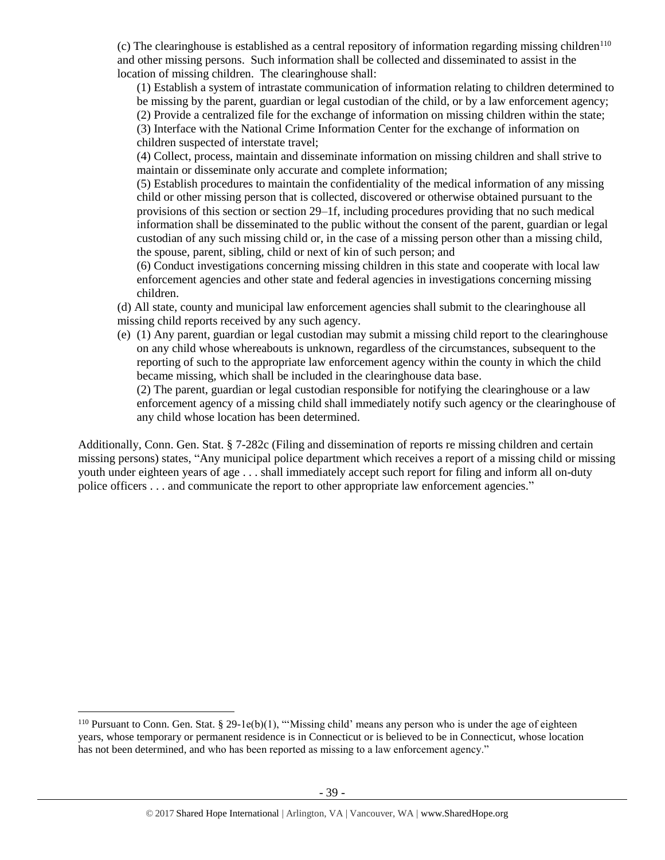(c) The clearinghouse is established as a central repository of information regarding missing children<sup>110</sup> and other missing persons. Such information shall be collected and disseminated to assist in the location of missing children. The clearinghouse shall:

(1) Establish a system of intrastate communication of information relating to children determined to be missing by the parent, guardian or legal custodian of the child, or by a law enforcement agency; (2) Provide a centralized file for the exchange of information on missing children within the state;

(3) Interface with the National Crime Information Center for the exchange of information on

children suspected of interstate travel;

(4) Collect, process, maintain and disseminate information on missing children and shall strive to maintain or disseminate only accurate and complete information;

(5) Establish procedures to maintain the confidentiality of the medical information of any missing child or other missing person that is collected, discovered or otherwise obtained pursuant to the provisions of this section or section 29–1f, including procedures providing that no such medical information shall be disseminated to the public without the consent of the parent, guardian or legal custodian of any such missing child or, in the case of a missing person other than a missing child, the spouse, parent, sibling, child or next of kin of such person; and

(6) Conduct investigations concerning missing children in this state and cooperate with local law enforcement agencies and other state and federal agencies in investigations concerning missing children.

(d) All state, county and municipal law enforcement agencies shall submit to the clearinghouse all missing child reports received by any such agency.

(e) (1) Any parent, guardian or legal custodian may submit a missing child report to the clearinghouse on any child whose whereabouts is unknown, regardless of the circumstances, subsequent to the reporting of such to the appropriate law enforcement agency within the county in which the child became missing, which shall be included in the clearinghouse data base.

(2) The parent, guardian or legal custodian responsible for notifying the clearinghouse or a law enforcement agency of a missing child shall immediately notify such agency or the clearinghouse of any child whose location has been determined.

Additionally, Conn. Gen. Stat. § 7-282c (Filing and dissemination of reports re missing children and certain missing persons) states, "Any municipal police department which receives a report of a missing child or missing youth under eighteen years of age . . . shall immediately accept such report for filing and inform all on-duty police officers . . . and communicate the report to other appropriate law enforcement agencies."

<sup>&</sup>lt;sup>110</sup> Pursuant to Conn. Gen. Stat. § 29-1e(b)(1), "Missing child' means any person who is under the age of eighteen years, whose temporary or permanent residence is in Connecticut or is believed to be in Connecticut, whose location has not been determined, and who has been reported as missing to a law enforcement agency."